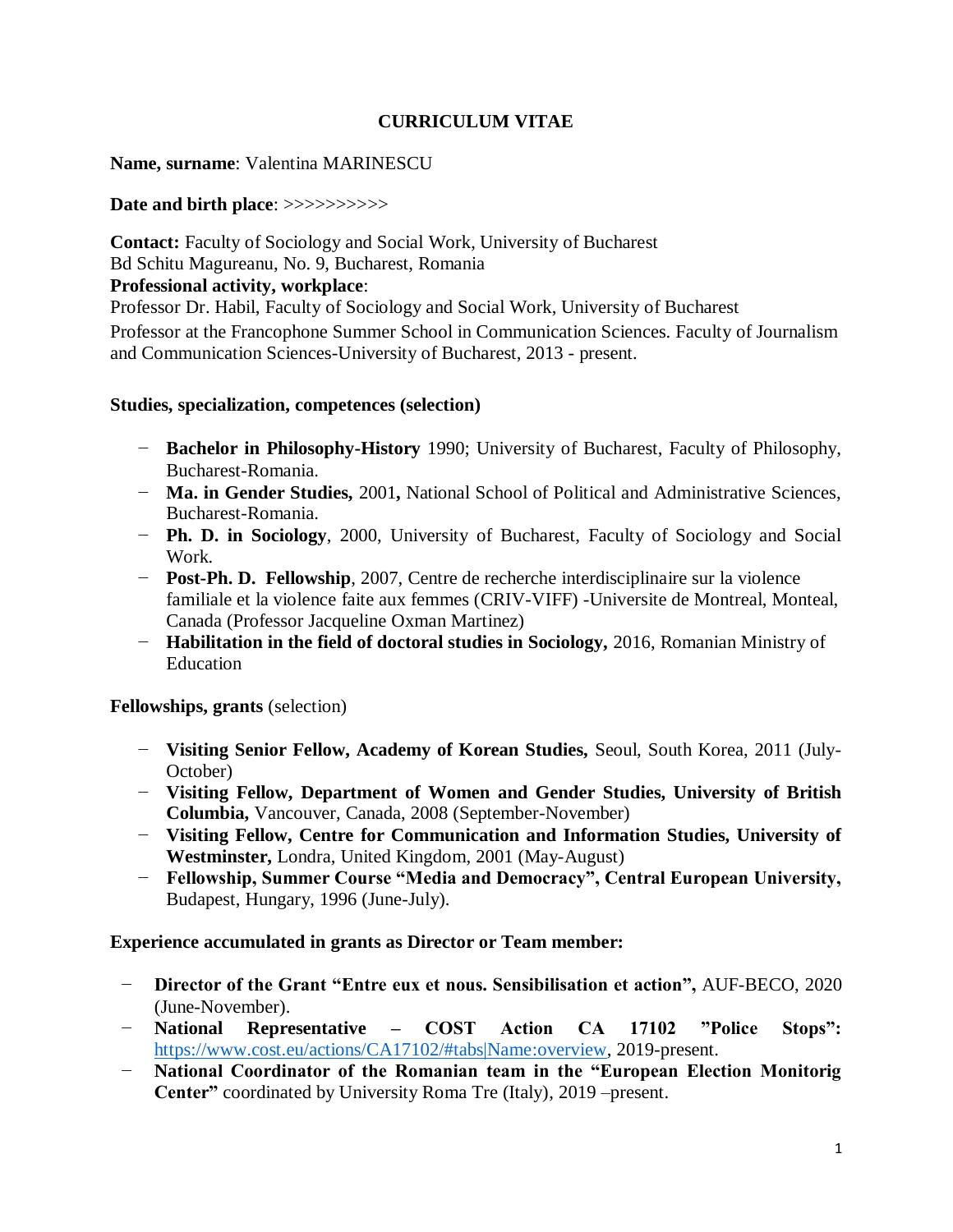# **CURRICULUM VITAE**

### **Name, surname**: Valentina MARINESCU

#### **Date and birth place**: >>>>>>>>>>

**Contact:** Faculty of Sociology and Social Work, University of Bucharest Bd Schitu Magureanu, No. 9, Bucharest, Romania

#### **Professional activity, workplace**:

Professor Dr. Habil, Faculty of Sociology and Social Work, University of Bucharest Professor at the Francophone Summer School in Communication Sciences. Faculty of Journalism and Communication Sciences-University of Bucharest, 2013 - present.

#### **Studies, specialization, competences (selection)**

- − **Bachelor in Philosophy-History** 1990; University of Bucharest, Faculty of Philosophy, Bucharest-Romania.
- − **Ma. in Gender Studies,** 2001**,** National School of Political and Administrative Sciences, Bucharest-Romania.
- − **Ph. D. in Sociology**, 2000, University of Bucharest, Faculty of Sociology and Social Work*.*
- − **Post-Ph. D. Fellowship**, 2007, Centre de recherche interdisciplinaire sur la violence familiale et la violence faite aux femmes (CRIV-VIFF) -Universite de Montreal, Monteal, Canada (Professor Jacqueline Oxman Martinez)
- − **Habilitation in the field of doctoral studies in Sociology,** 2016, Romanian Ministry of Education

#### **Fellowships, grants** (selection)

- − **Visiting Senior Fellow, Academy of Korean Studies,** Seoul, South Korea, 2011 (July-October)
- − **Visiting Fellow, Department of Women and Gender Studies, University of British Columbia,** Vancouver, Canada, 2008 (September-November)
- − **Visiting Fellow, Centre for Communication and Information Studies, University of Westminster,** Londra, United Kingdom, 2001 (May-August)
- − **Fellowship, Summer Course "Media and Democracy", Central European University,**  Budapest, Hungary, 1996 (June-July).

#### **Experience accumulated in grants as Director or Team member:**

- − **Director of the Grant "Entre eux et nous. Sensibilisation et action",** AUF-BECO, 2020 (June-November).
- − **National Representative – COST Action CA 17102 "Police Stops":** [https://www.cost.eu/actions/CA17102/#tabs|Name:overview,](https://www.cost.eu/actions/CA17102/#tabs|Name:overview) 2019-present.
- − **National Coordinator of the Romanian team in the "European Election Monitorig Center"** coordinated by University Roma Tre (Italy), 2019 –present.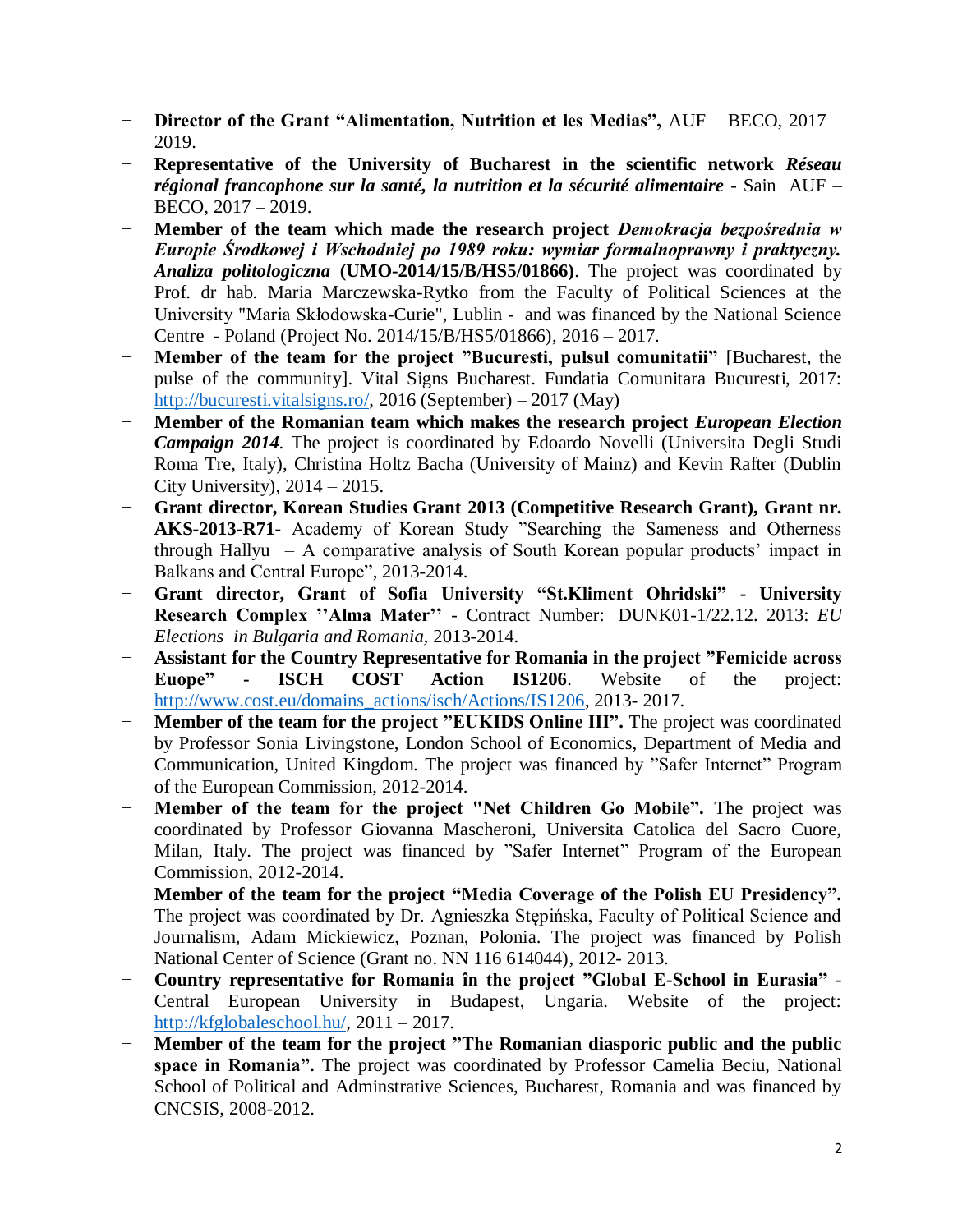- − **Director of the Grant "Alimentation, Nutrition et les Medias",** AUF BECO, 2017 2019.
- − **Representative of the University of Bucharest in the scientific network** *Réseau régional francophone sur la santé, la nutrition et la sécurité alimentaire* - Sain AUF – BECO, 2017 – 2019.
- − **Member of the team which made the research project** *Demokracja bezpośrednia w Europie Środkowej i Wschodniej po 1989 roku: wymiar formalnoprawny i praktyczny. Analiza politologiczna* **(UMO-2014/15/B/HS5/01866)**. The project was coordinated by Prof. dr hab. Maria Marczewska-Rytko from the Faculty of Political Sciences at the University "Maria Skłodowska-Curie", Lublin - and was financed by the National Science Centre - Poland (Project No. 2014/15/B/HS5/01866), 2016 – 2017.
- − **Member of the team for the project "Bucuresti, pulsul comunitatii"** [Bucharest, the pulse of the community]. Vital Signs Bucharest. Fundatia Comunitara Bucuresti, 2017: [http://bucuresti.vitalsigns.ro/,](http://bucuresti.vitalsigns.ro/) 2016 (September) – 2017 (May)
- − **Member of the Romanian team which makes the research project** *European Election Campaign 2014*. The project is coordinated by Edoardo Novelli (Universita Degli Studi Roma Tre, Italy), Christina Holtz Bacha (University of Mainz) and Kevin Rafter (Dublin City University), 2014 – 2015.
- − **Grant director, Korean Studies Grant 2013 (Competitive Research Grant), Grant nr. AKS-2013-R71-** Academy of Korean Study "Searching the Sameness and Otherness through Hallyu – A comparative analysis of South Korean popular products' impact in Balkans and Central Europe", 2013-2014.
- − **Grant director, Grant of Sofia University "St.Kliment Ohridski" - University Research Complex ''Alma Mater''** - Contract Number: DUNK01-1/22.12. 2013: *EU Elections in Bulgaria and Romania,* 2013-2014.
- − **Assistant for the Country Representative for Romania in the project "Femicide across Euope" - ISCH COST Action IS1206**. Website of the project: [http://www.cost.eu/domains\\_actions/isch/Actions/IS1206,](http://www.cost.eu/domains_actions/isch/Actions/IS1206) 2013- 2017.
- − **Member of the team for the project "EUKIDS Online III".** The project was coordinated by Professor Sonia Livingstone, London School of Economics, Department of Media and Communication, United Kingdom. The project was financed by "Safer Internet" Program of the European Commission, 2012-2014.
- **Member of the team for the project "Net Children Go Mobile".** The project was coordinated by Professor Giovanna Mascheroni, Universita Catolica del Sacro Cuore, Milan, Italy. The project was financed by "Safer Internet" Program of the European Commission, 2012-2014.
- − **Member of the team for the project "Media Coverage of the Polish EU Presidency".** The project was coordinated by Dr. Agnieszka Stępińska, Faculty of Political Science and Journalism, Adam Mickiewicz, Poznan, Polonia. The project was financed by Polish National Center of Science (Grant no. NN 116 614044), 2012- 2013.
- − **Country representative for Romania în the project "Global E-School in Eurasia"** Central European University in Budapest, Ungaria. Website of the project: [http://kfglobaleschool.hu/,](http://kfglobaleschool.hu/) 2011 – 2017.
- − **Member of the team for the project "The Romanian diasporic public and the public space in Romania".** The project was coordinated by Professor Camelia Beciu, National School of Political and Adminstrative Sciences, Bucharest, Romania and was financed by CNCSIS, 2008-2012.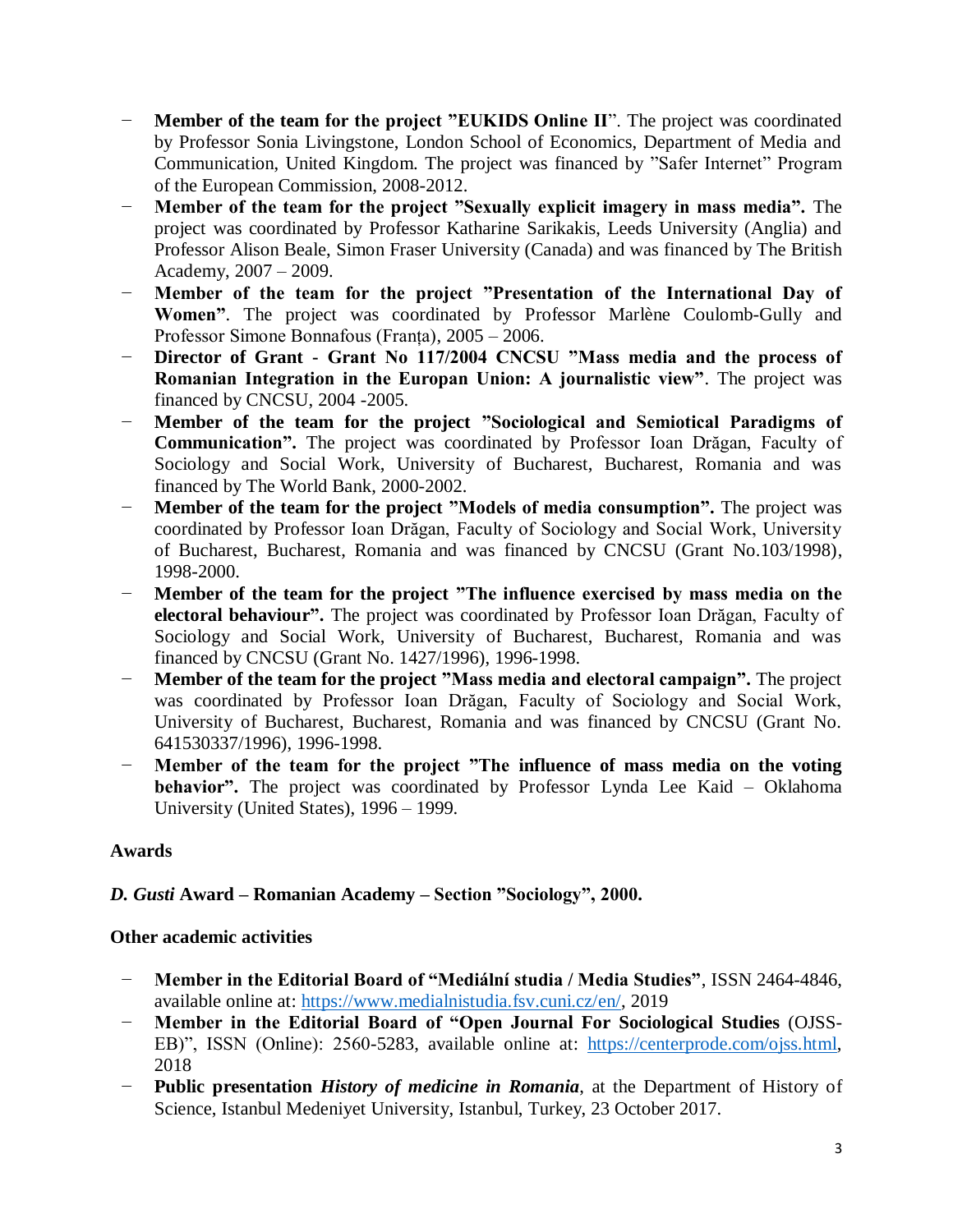- − **Member of the team for the project "EUKIDS Online II**". The project was coordinated by Professor Sonia Livingstone, London School of Economics, Department of Media and Communication, United Kingdom. The project was financed by "Safer Internet" Program of the European Commission, 2008-2012.
- − **Member of the team for the project "Sexually explicit imagery in mass media".** The project was coordinated by Professor Katharine Sarikakis, Leeds University (Anglia) and Professor Alison Beale, Simon Fraser University (Canada) and was financed by The British Academy, 2007 – 2009.
- **Member of the team for the project "Presentation of the International Day of Women"**. The project was coordinated by Professor Marlène Coulomb-Gully and Professor Simone Bonnafous (Franța), 2005 – 2006.
- − **Director of Grant - Grant No 117/2004 CNCSU "Mass media and the process of Romanian Integration in the Europan Union: A journalistic view"**. The project was financed by CNCSU, 2004 -2005.
- − **Member of the team for the project "Sociological and Semiotical Paradigms of Communication".** The project was coordinated by Professor Ioan Drăgan, Faculty of Sociology and Social Work, University of Bucharest, Bucharest, Romania and was financed by The World Bank, 2000-2002.
- **Member of the team for the project "Models of media consumption".** The project was coordinated by Professor Ioan Drăgan, Faculty of Sociology and Social Work, University of Bucharest, Bucharest, Romania and was financed by CNCSU (Grant No.103/1998), 1998-2000.
- − **Member of the team for the project "The influence exercised by mass media on the electoral behaviour".** The project was coordinated by Professor Ioan Drăgan, Faculty of Sociology and Social Work, University of Bucharest, Bucharest, Romania and was financed by CNCSU (Grant No. 1427/1996), 1996-1998.
- − **Member of the team for the project "Mass media and electoral campaign".** The project was coordinated by Professor Ioan Drăgan, Faculty of Sociology and Social Work, University of Bucharest, Bucharest, Romania and was financed by CNCSU (Grant No. 641530337/1996), 1996-1998.
- − **Member of the team for the project "The influence of mass media on the voting behavior".** The project was coordinated by Professor Lynda Lee Kaid – Oklahoma University (United States), 1996 – 1999.

# **Awards**

# *D. Gusti* **Award – Romanian Academy – Section "Sociology", 2000.**

# **Other academic activities**

- − **Member in the Editorial Board of "Mediální studia / Media Studies"**, ISSN 2464-4846, available online at: [https://www.medialnistudia.fsv.cuni.cz/en/,](https://www.medialnistudia.fsv.cuni.cz/en/) 2019
- − **Member in the Editorial Board of "Open Journal For Sociological Studies** (OJSS-EB)", ISSN (Online): 2560-5283, available online at: [https://centerprode.com/ojss.html,](https://centerprode.com/ojss.html) 2018
- **Public presentation** *History of medicine in Romania*, at the Department of History of Science, Istanbul Medeniyet University, Istanbul, Turkey, 23 October 2017.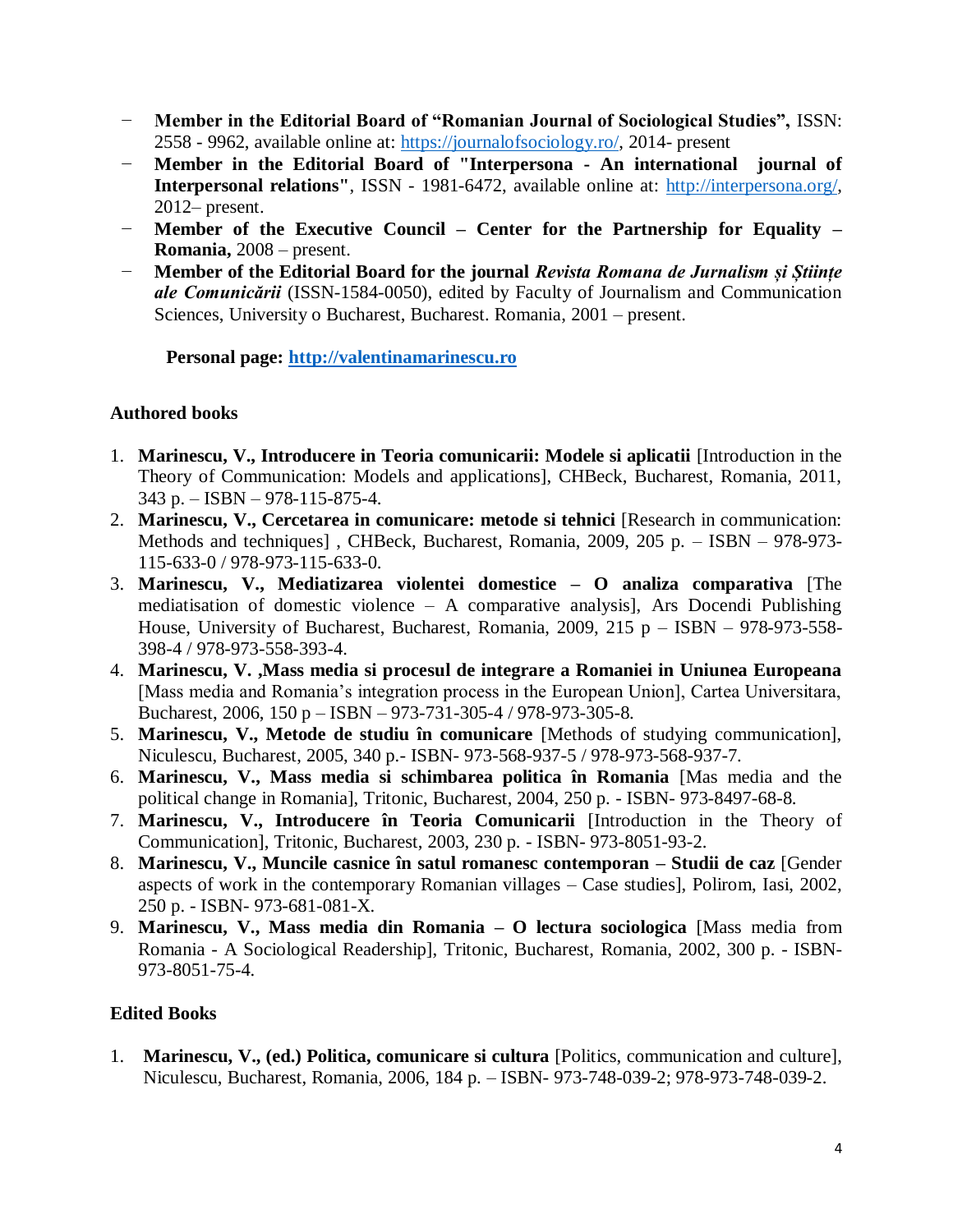- − **Member in the Editorial Board of "Romanian Journal of Sociological Studies",** ISSN: 2558 - 9962, available online at: [https://journalofsociology.ro/,](https://journalofsociology.ro/) 2014- present
- − **Member in the Editorial Board of "Interpersona - An international journal of Interpersonal relations"**, ISSN - 1981-6472, available online at: [http://interpersona.org/,](http://interpersona.org/) 2012– present.
- − **Member of the Executive Council – Center for the Partnership for Equality – Romania,** 2008 – present.
- − **Member of the Editorial Board for the journal** *Revista Romana de Jurnalism și Științe ale Comunicării* (ISSN-1584-0050), edited by Faculty of Journalism and Communication Sciences, University o Bucharest, Bucharest. Romania, 2001 – present.

**Personal page: [http://valentinamarinescu.ro](http://valentinamarinescu.ro/)**

# **Authored books**

- 1. **Marinescu, V., Introducere in Teoria comunicarii: Modele si aplicatii** [Introduction in the Theory of Communication: Models and applications], CHBeck, Bucharest, Romania, 2011, 343 p. – ISBN – 978-115-875-4.
- 2. **Marinescu, V., Cercetarea in comunicare: metode si tehnici** [Research in communication: Methods and techniques] , CHBeck, Bucharest, Romania, 2009, 205 p. – ISBN – 978-973- 115-633-0 / 978-973-115-633-0.
- 3. **Marinescu, V., Mediatizarea violentei domestice – O analiza comparativa** [The mediatisation of domestic violence – A comparative analysis], Ars Docendi Publishing House, University of Bucharest, Bucharest, Romania, 2009, 215 p – ISBN – 978-973-558- 398-4 / 978-973-558-393-4.
- 4. **Marinescu, V. ,Mass media si procesul de integrare a Romaniei in Uniunea Europeana** [Mass media and Romania's integration process in the European Union], Cartea Universitara, Bucharest, 2006, 150 p – ISBN – 973-731-305-4 / 978-973-305-8.
- 5. **Marinescu, V., Metode de studiu în comunicare** [Methods of studying communication], Niculescu, Bucharest, 2005, 340 p.- ISBN- 973-568-937-5 / 978-973-568-937-7.
- 6. **Marinescu, V., Mass media si schimbarea politica în Romania** [Mas media and the political change in Romania], Tritonic, Bucharest, 2004, 250 p. - ISBN- 973-8497-68-8.
- 7. **Marinescu, V., Introducere în Teoria Comunicarii** [Introduction in the Theory of Communication], Tritonic, Bucharest, 2003, 230 p. - ISBN- 973-8051-93-2.
- 8. **Marinescu, V., Muncile casnice în satul romanesc contemporan – Studii de caz** [Gender aspects of work in the contemporary Romanian villages – Case studies], Polirom, Iasi, 2002, 250 p. - ISBN- 973-681-081-X.
- 9. **Marinescu, V., Mass media din Romania – O lectura sociologica** [Mass media from Romania - A Sociological Readership], Tritonic, Bucharest, Romania, 2002, 300 p. - ISBN-973-8051-75-4.

# **Edited Books**

1. **Marinescu, V., (ed.) Politica, comunicare si cultura** [Politics, communication and culture], Niculescu, Bucharest, Romania, 2006, 184 p. – ISBN- 973-748-039-2; 978-973-748-039-2.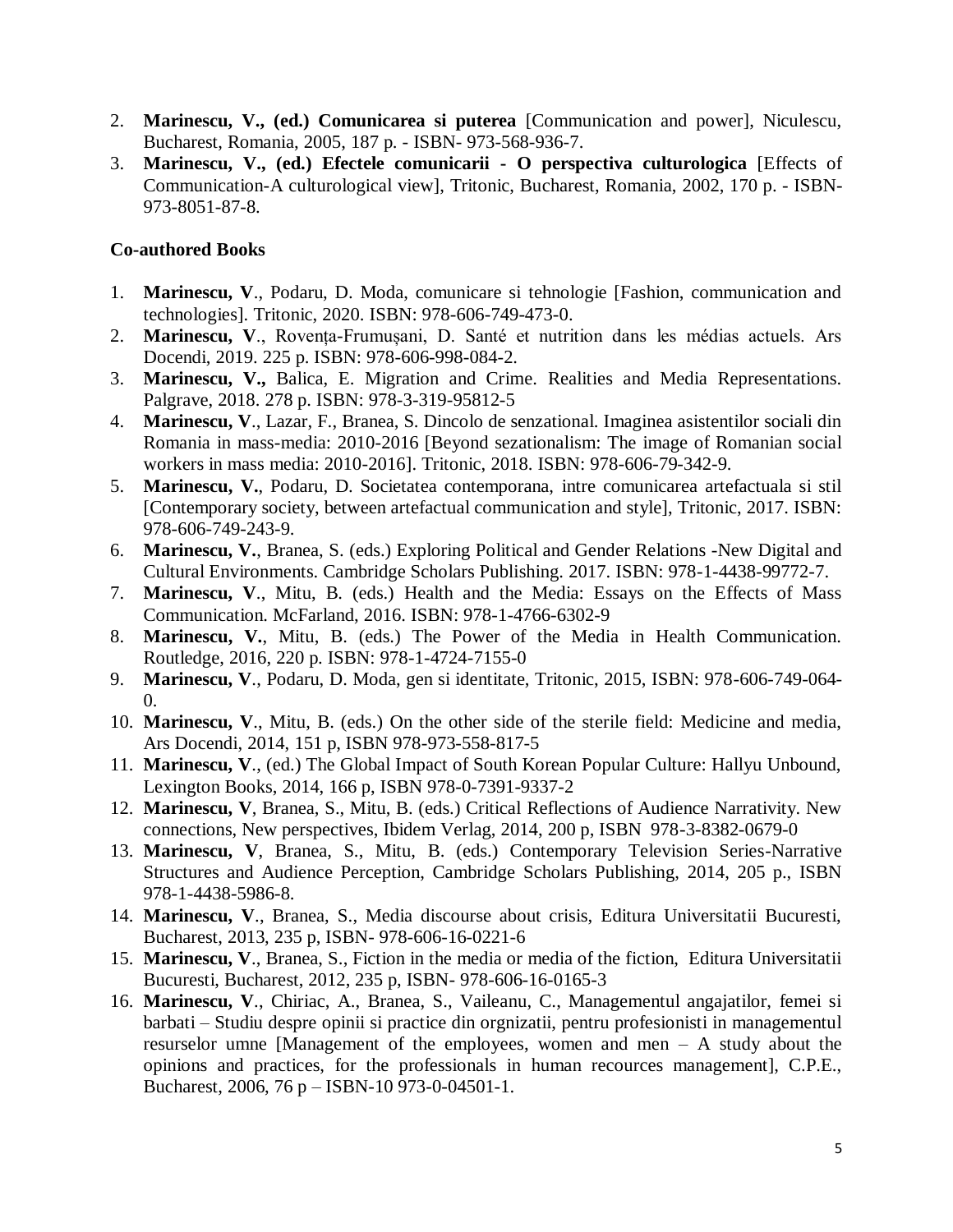- 2. **Marinescu, V., (ed.) Comunicarea si puterea** [Communication and power], Niculescu, Bucharest, Romania, 2005, 187 p. - ISBN- 973-568-936-7.
- 3. **Marinescu, V., (ed.) Efectele comunicarii - O perspectiva culturologica** [Effects of Communication-A culturological view], Tritonic, Bucharest, Romania, 2002, 170 p. - ISBN-973-8051-87-8.

### **Co-authored Books**

- 1. **Marinescu, V**., Podaru, D. Moda, comunicare si tehnologie [Fashion, communication and technologies]. Tritonic, 2020. ISBN: 978-606-749-473-0.
- 2. **Marinescu, V**., Rovența-Frumușani, D. Santé et nutrition dans les médias actuels. Ars Docendi, 2019. 225 p. ISBN: 978-606-998-084-2.
- 3. **Marinescu, V.,** Balica, E. Migration and Crime. Realities and Media Representations. Palgrave, 2018. 278 p. ISBN: 978-3-319-95812-5
- 4. **Marinescu, V**., Lazar, F., Branea, S. Dincolo de senzational. Imaginea asistentilor sociali din Romania in mass-media: 2010-2016 [Beyond sezationalism: The image of Romanian social workers in mass media: 2010-2016]. Tritonic, 2018. ISBN: 978-606-79-342-9.
- 5. **Marinescu, V.**, Podaru, D. Societatea contemporana, intre comunicarea artefactuala si stil [Contemporary society, between artefactual communication and style], Tritonic, 2017. ISBN: 978-606-749-243-9.
- 6. **Marinescu, V.**, Branea, S. (eds.) Exploring Political and Gender Relations -New Digital and Cultural Environments. Cambridge Scholars Publishing. 2017. ISBN: 978-1-4438-99772-7.
- 7. **Marinescu, V**., Mitu, B. (eds.) Health and the Media: Essays on the Effects of Mass Communication. McFarland, 2016. ISBN: 978-1-4766-6302-9
- 8. **Marinescu, V.**, Mitu, B. (eds.) The Power of the Media in Health Communication. Routledge, 2016, 220 p. ISBN: 978-1-4724-7155-0
- 9. **Marinescu, V**., Podaru, D. Moda, gen si identitate, Tritonic, 2015, ISBN: 978-606-749-064-  $\overline{0}$ .
- 10. **Marinescu, V**., Mitu, B. (eds.) On the other side of the sterile field: Medicine and media, Ars Docendi, 2014, 151 p, ISBN 978-973-558-817-5
- 11. **Marinescu, V**., (ed.) The Global Impact of South Korean Popular Culture: Hallyu Unbound, Lexington Books, 2014, 166 p, ISBN 978-0-7391-9337-2
- 12. **Marinescu, V**, Branea, S., Mitu, B. (eds.) Critical Reflections of Audience Narrativity. New connections, New perspectives, Ibidem Verlag, 2014, 200 p, ISBN 978-3-8382-0679-0
- 13. **Marinescu, V**, Branea, S., Mitu, B. (eds.) Contemporary Television Series-Narrative Structures and Audience Perception, Cambridge Scholars Publishing, 2014, 205 p., ISBN 978-1-4438-5986-8.
- 14. **Marinescu, V**., Branea, S., Media discourse about crisis, Editura Universitatii Bucuresti, Bucharest, 2013, 235 p, ISBN- 978-606-16-0221-6
- 15. **Marinescu, V**., Branea, S., Fiction in the media or media of the fiction, Editura Universitatii Bucuresti, Bucharest, 2012, 235 p, ISBN- 978-606-16-0165-3
- 16. **Marinescu, V**., Chiriac, A., Branea, S., Vaileanu, C., Managementul angajatilor, femei si barbati – Studiu despre opinii si practice din orgnizatii, pentru profesionisti in managementul resurselor umne [Management of the employees, women and men – A study about the opinions and practices, for the professionals in human recources management], C.P.E., Bucharest, 2006, 76 p – ISBN-10 973-0-04501-1.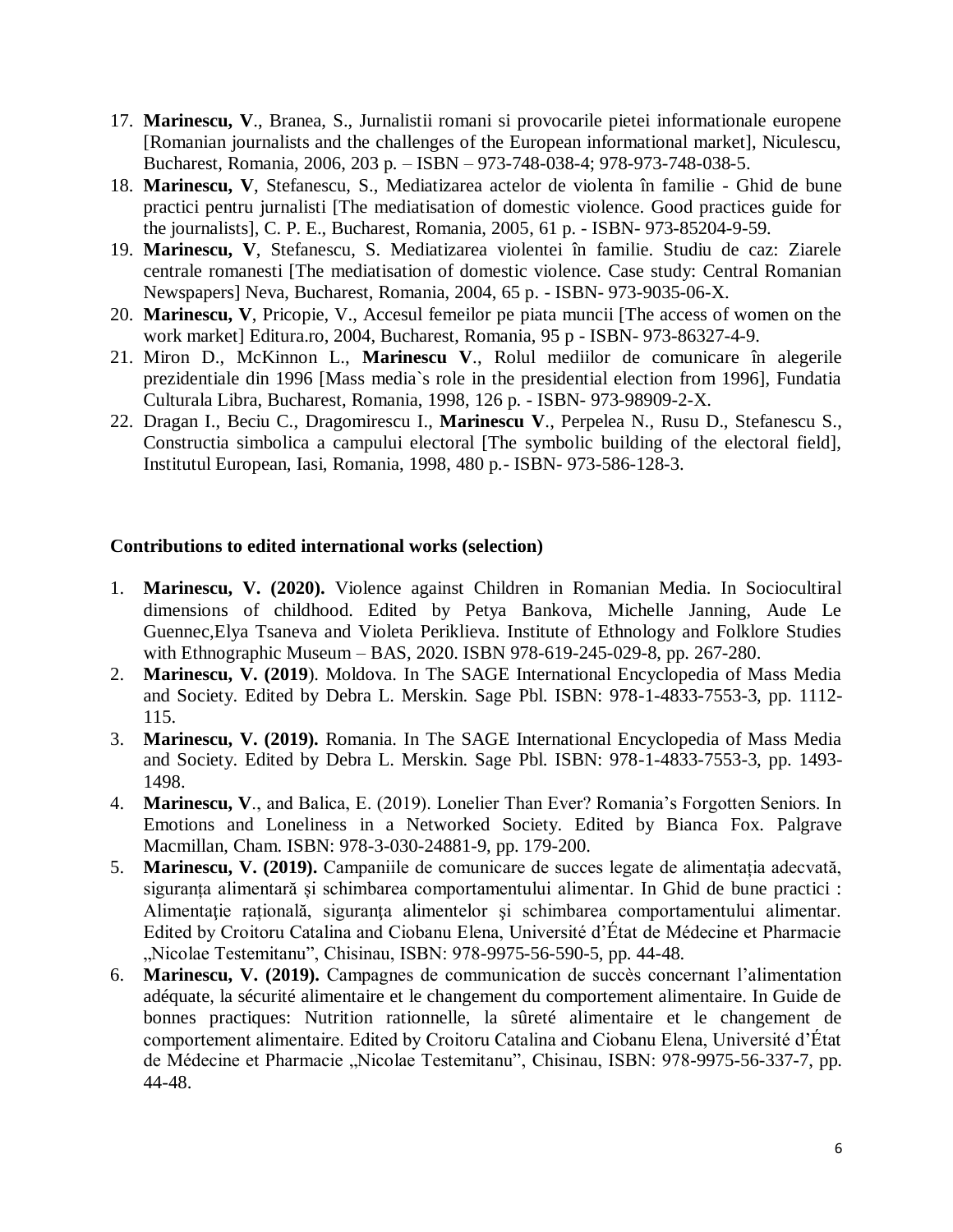- 17. **Marinescu, V**., Branea, S., Jurnalistii romani si provocarile pietei informationale europene [Romanian journalists and the challenges of the European informational market], Niculescu, Bucharest, Romania, 2006, 203 p. – ISBN – 973-748-038-4; 978-973-748-038-5.
- 18. **Marinescu, V**, Stefanescu, S., Mediatizarea actelor de violenta în familie Ghid de bune practici pentru jurnalisti [The mediatisation of domestic violence. Good practices guide for the journalists], C. P. E., Bucharest, Romania, 2005, 61 p. - ISBN- 973-85204-9-59.
- 19. **Marinescu, V**, Stefanescu, S. Mediatizarea violentei în familie. Studiu de caz: Ziarele centrale romanesti [The mediatisation of domestic violence. Case study: Central Romanian Newspapers] Neva, Bucharest, Romania, 2004, 65 p. - ISBN- 973-9035-06-X.
- 20. **Marinescu, V**, Pricopie, V., Accesul femeilor pe piata muncii [The access of women on the work market] Editura.ro, 2004, Bucharest, Romania, 95 p - ISBN- 973-86327-4-9.
- 21. Miron D., McKinnon L., **Marinescu V**., Rolul mediilor de comunicare în alegerile prezidentiale din 1996 [Mass media`s role in the presidential election from 1996], Fundatia Culturala Libra, Bucharest, Romania, 1998, 126 p. - ISBN- 973-98909-2-X.
- 22. Dragan I., Beciu C., Dragomirescu I., **Marinescu V**., Perpelea N., Rusu D., Stefanescu S., Constructia simbolica a campului electoral [The symbolic building of the electoral field], Institutul European, Iasi, Romania, 1998, 480 p.- ISBN- 973-586-128-3.

#### **Contributions to edited international works (selection)**

- 1. **Marinescu, V. (2020).** Violence against Children in Romanian Media. In Sociocultiral dimensions of childhood. Edited by Petya Bankova, Michelle Janning, Aude Le Guennec,Elya Tsaneva and Violeta Periklieva. Institute of Ethnology and Folklore Studies with Ethnographic Museum – BAS, 2020. ISBN 978-619-245-029-8, pp. 267-280.
- 2. **Marinescu, V. (2019**). Moldova. In The SAGE International Encyclopedia of Mass Media and Society. Edited by Debra L. Merskin. Sage Pbl. ISBN: 978-1-4833-7553-3, pp. 1112- 115.
- 3. **Marinescu, V. (2019).** Romania. In The SAGE International Encyclopedia of Mass Media and Society. Edited by Debra L. Merskin. Sage Pbl. ISBN: 978-1-4833-7553-3, pp. 1493- 1498.
- 4. **Marinescu, V**., and Balica, E. (2019). Lonelier Than Ever? Romania's Forgotten Seniors. In Emotions and Loneliness in a Networked Society. Edited by Bianca Fox. Palgrave Macmillan, Cham. ISBN: 978-3-030-24881-9, pp. 179-200.
- 5. **Marinescu, V. (2019).** Campaniile de comunicare de succes legate de alimentația adecvată, siguranța alimentară și schimbarea comportamentului alimentar. In Ghid de bune practici : Alimentaţie rațională, siguranţa alimentelor şi schimbarea comportamentului alimentar. Edited by Croitoru Catalina and Ciobanu Elena, Université d'État de Médecine et Pharmacie "Nicolae Testemitanu", Chisinau, ISBN: 978-9975-56-590-5, pp. 44-48.
- 6. **Marinescu, V. (2019).** Campagnes de communication de succès concernant l'alimentation adéquate, la sécurité alimentaire et le changement du comportement alimentaire. In Guide de bonnes practiques: Nutrition rationnelle, la sûreté alimentaire et le changement de comportement alimentaire. Edited by Croitoru Catalina and Ciobanu Elena, Université d'État de Médecine et Pharmacie "Nicolae Testemitanu", Chisinau, ISBN: 978-9975-56-337-7, pp. 44-48.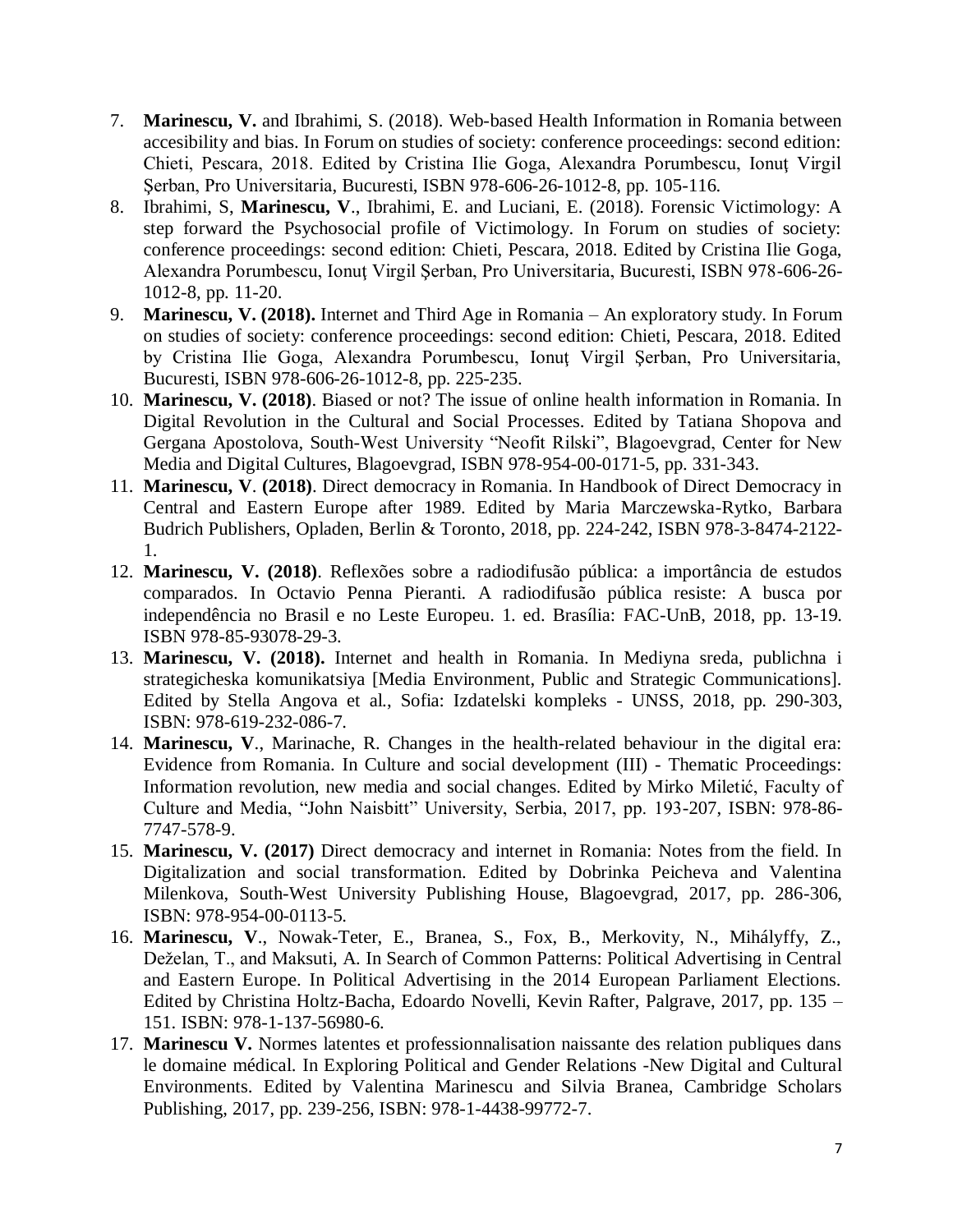- 7. **Marinescu, V.** and Ibrahimi, S. (2018). Web-based Health Information in Romania between accesibility and bias. In Forum on studies of society: conference proceedings: second edition: Chieti, Pescara, 2018. Edited by Cristina Ilie Goga, Alexandra Porumbescu, Ionuţ Virgil Şerban, Pro Universitaria, Bucuresti, ISBN 978-606-26-1012-8, pp. 105-116.
- 8. Ibrahimi, S, **Marinescu, V**., Ibrahimi, E. and Luciani, E. (2018). Forensic Victimology: A step forward the Psychosocial profile of Victimology. In Forum on studies of society: conference proceedings: second edition: Chieti, Pescara, 2018. Edited by Cristina Ilie Goga, Alexandra Porumbescu, Ionuţ Virgil Şerban, Pro Universitaria, Bucuresti, ISBN 978-606-26- 1012-8, pp. 11-20.
- 9. **Marinescu, V. (2018).** Internet and Third Age in Romania An exploratory study. In Forum on studies of society: conference proceedings: second edition: Chieti, Pescara, 2018. Edited by Cristina Ilie Goga, Alexandra Porumbescu, Ionuţ Virgil Şerban, Pro Universitaria, Bucuresti, ISBN 978-606-26-1012-8, pp. 225-235.
- 10. **Marinescu, V. (2018)**. Biased or not? The issue of online health information in Romania. In Digital Revolution in the Cultural and Social Processes. Edited by Tatiana Shopova and Gergana Apostolova, South-West University "Neofit Rilski", Blagoevgrad, Center for New Media and Digital Cultures, Blagoevgrad, ISBN 978-954-00-0171-5, pp. 331-343.
- 11. **Marinescu, V**. **(2018)**. Direct democracy in Romania. In Handbook of Direct Democracy in Central and Eastern Europe after 1989. Edited by Maria Marczewska-Rytko, Barbara Budrich Publishers, Opladen, Berlin & Toronto, 2018, pp. 224-242, ISBN 978-3-8474-2122- 1.
- 12. **Marinescu, V. (2018)**. Reflexões sobre a radiodifusão pública: a importância de estudos comparados. In Octavio Penna Pieranti. A radiodifusão pública resiste: A busca por independência no Brasil e no Leste Europeu. 1. ed. Brasília: FAC-UnB, 2018, pp. 13-19. ISBN 978-85-93078-29-3.
- 13. **Marinescu, V. (2018).** Internet and health in Romania. In Mediyna sreda, publichna i strategicheska komunikatsiya [Media Environment, Public and Strategic Communications]. Edited by Stella Angova et al., Sofia: Izdatelski kompleks - UNSS, 2018, pp. 290-303, ISBN: 978-619-232-086-7.
- 14. **Marinescu, V**., Marinache, R. Changes in the health-related behaviour in the digital era: Evidence from Romania. In Culture and social development (III) - Thematic Proceedings: Information revolution, new media and social changes. Edited by Mirko Miletić, Faculty of Culture and Media, "John Naisbitt" University, Serbia, 2017, pp. 193-207, ISBN: 978-86- 7747-578-9.
- 15. **Marinescu, V. (2017)** Direct democracy and internet in Romania: Notes from the field. In Digitalization and social transformation. Edited by Dobrinka Peicheva and Valentina Milenkova, South-West University Publishing House, Blagoevgrad, 2017, pp. 286-306, ISBN: 978-954-00-0113-5.
- 16. **Marinescu, V**., Nowak-Teter, E., Branea, S., Fox, B., Merkovity, N., Mihályffy, Z., Deželan, T., and Maksuti, A. In Search of Common Patterns: Political Advertising in Central and Eastern Europe. In Political Advertising in the 2014 European Parliament Elections. Edited by Christina Holtz-Bacha, Edoardo Novelli, Kevin Rafter, Palgrave, 2017, pp. 135 – 151. ISBN: 978-1-137-56980-6.
- 17. **Marinescu V.** Normes latentes et professionnalisation naissante des relation publiques dans le domaine médical. In Exploring Political and Gender Relations -New Digital and Cultural Environments. Edited by Valentina Marinescu and Silvia Branea, Cambridge Scholars Publishing, 2017, pp. 239-256, ISBN: 978-1-4438-99772-7.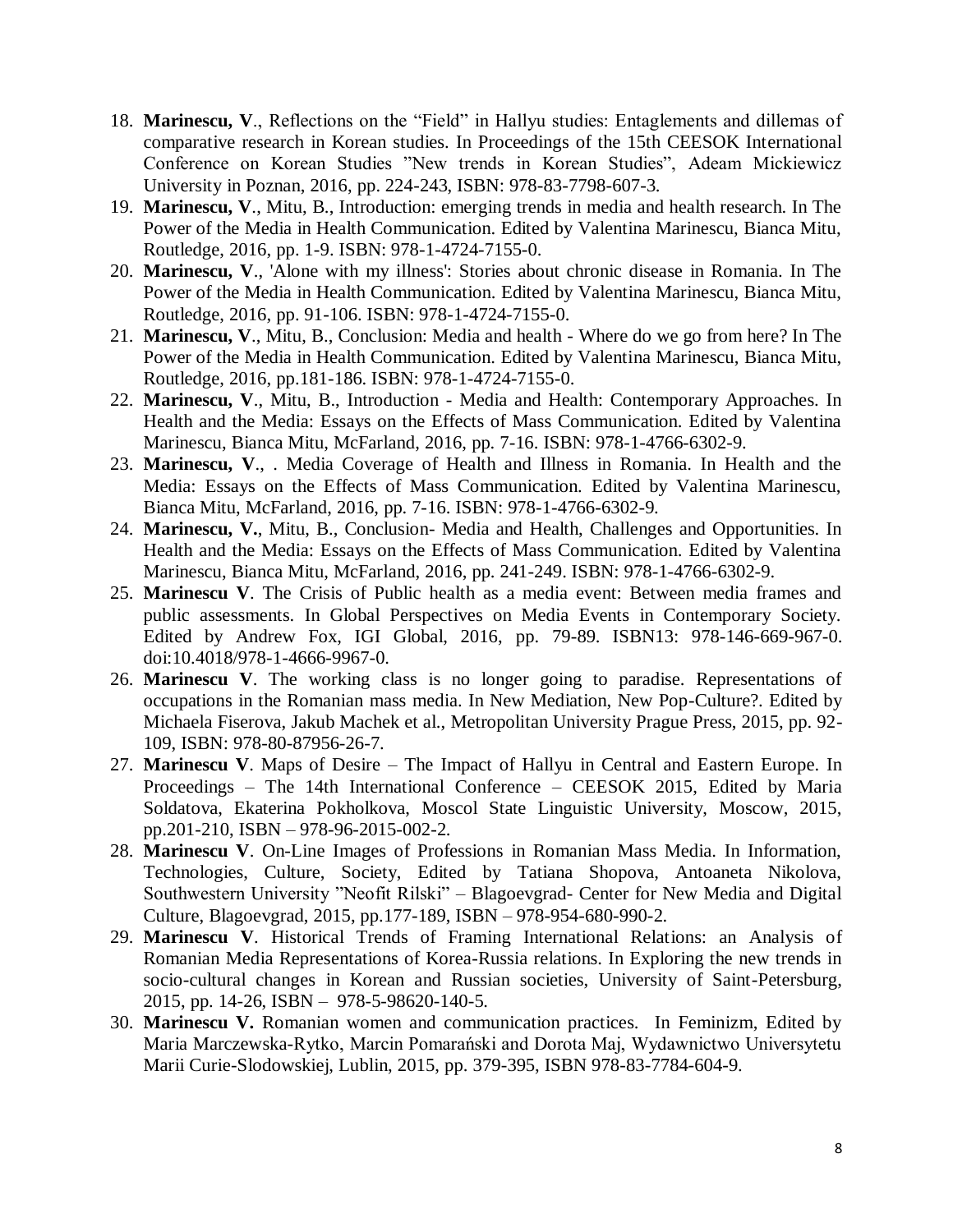- 18. **Marinescu, V**., Reflections on the "Field" in Hallyu studies: Entaglements and dillemas of comparative research in Korean studies. In Proceedings of the 15th CEESOK International Conference on Korean Studies "New trends in Korean Studies", Adeam Mickiewicz University in Poznan, 2016, pp. 224-243, ISBN: 978-83-7798-607-3.
- 19. **Marinescu, V**., Mitu, B., Introduction: emerging trends in media and health research. In The Power of the Media in Health Communication. Edited by Valentina Marinescu, Bianca Mitu, Routledge, 2016, pp. 1-9. ISBN: 978-1-4724-7155-0.
- 20. **Marinescu, V**., 'Alone with my illness': Stories about chronic disease in Romania. In The Power of the Media in Health Communication. Edited by Valentina Marinescu, Bianca Mitu, Routledge, 2016, pp. 91-106. ISBN: 978-1-4724-7155-0.
- 21. **Marinescu, V**., Mitu, B., Conclusion: Media and health Where do we go from here? In The Power of the Media in Health Communication. Edited by Valentina Marinescu, Bianca Mitu, Routledge, 2016, pp.181-186. ISBN: 978-1-4724-7155-0.
- 22. **Marinescu, V**., Mitu, B., Introduction Media and Health: Contemporary Approaches. In Health and the Media: Essays on the Effects of Mass Communication. Edited by Valentina Marinescu, Bianca Mitu, McFarland, 2016, pp. 7-16. ISBN: 978-1-4766-6302-9.
- 23. **Marinescu, V**., . Media Coverage of Health and Illness in Romania. In Health and the Media: Essays on the Effects of Mass Communication. Edited by Valentina Marinescu, Bianca Mitu, McFarland, 2016, pp. 7-16. ISBN: 978-1-4766-6302-9.
- 24. **Marinescu, V.**, Mitu, B., Conclusion- Media and Health, Challenges and Opportunities. In Health and the Media: Essays on the Effects of Mass Communication. Edited by Valentina Marinescu, Bianca Mitu, McFarland, 2016, pp. 241-249. ISBN: 978-1-4766-6302-9.
- 25. **Marinescu V**. The Crisis of Public health as a media event: Between media frames and public assessments. In Global Perspectives on Media Events in Contemporary Society. Edited by Andrew Fox, IGI Global, 2016, pp. 79-89. ISBN13: 978-146-669-967-0. doi:10.4018/978-1-4666-9967-0.
- 26. **Marinescu V**. The working class is no longer going to paradise. Representations of occupations in the Romanian mass media. In New Mediation, New Pop-Culture?. Edited by Michaela Fiserova, Jakub Machek et al., Metropolitan University Prague Press, 2015, pp. 92- 109, ISBN: 978-80-87956-26-7.
- 27. **Marinescu V**. Maps of Desire The Impact of Hallyu in Central and Eastern Europe. In Proceedings – The 14th International Conference – CEESOK 2015, Edited by Maria Soldatova, Ekaterina Pokholkova, Moscol State Linguistic University, Moscow, 2015, pp.201-210, ISBN – 978-96-2015-002-2.
- 28. **Marinescu V**. On-Line Images of Professions in Romanian Mass Media. In Information, Technologies, Culture, Society, Edited by Tatiana Shopova, Antoaneta Nikolova, Southwestern University "Neofit Rilski" – Blagoevgrad- Center for New Media and Digital Culture, Blagoevgrad, 2015, pp.177-189, ISBN – 978-954-680-990-2.
- 29. **Marinescu V**. Historical Trends of Framing International Relations: an Analysis of Romanian Media Representations of Korea-Russia relations. In Exploring the new trends in socio-cultural changes in Korean and Russian societies, University of Saint-Petersburg, 2015, pp. 14-26, ISBN – 978-5-98620-140-5.
- 30. **Marinescu V.** Romanian women and communication practices. In Feminizm, Edited by Maria Marczewska-Rytko, Marcin Pomarański and Dorota Maj, Wydawnictwo Universytetu Marii Curie-Slodowskiej, Lublin, 2015, pp. 379-395, ISBN 978-83-7784-604-9.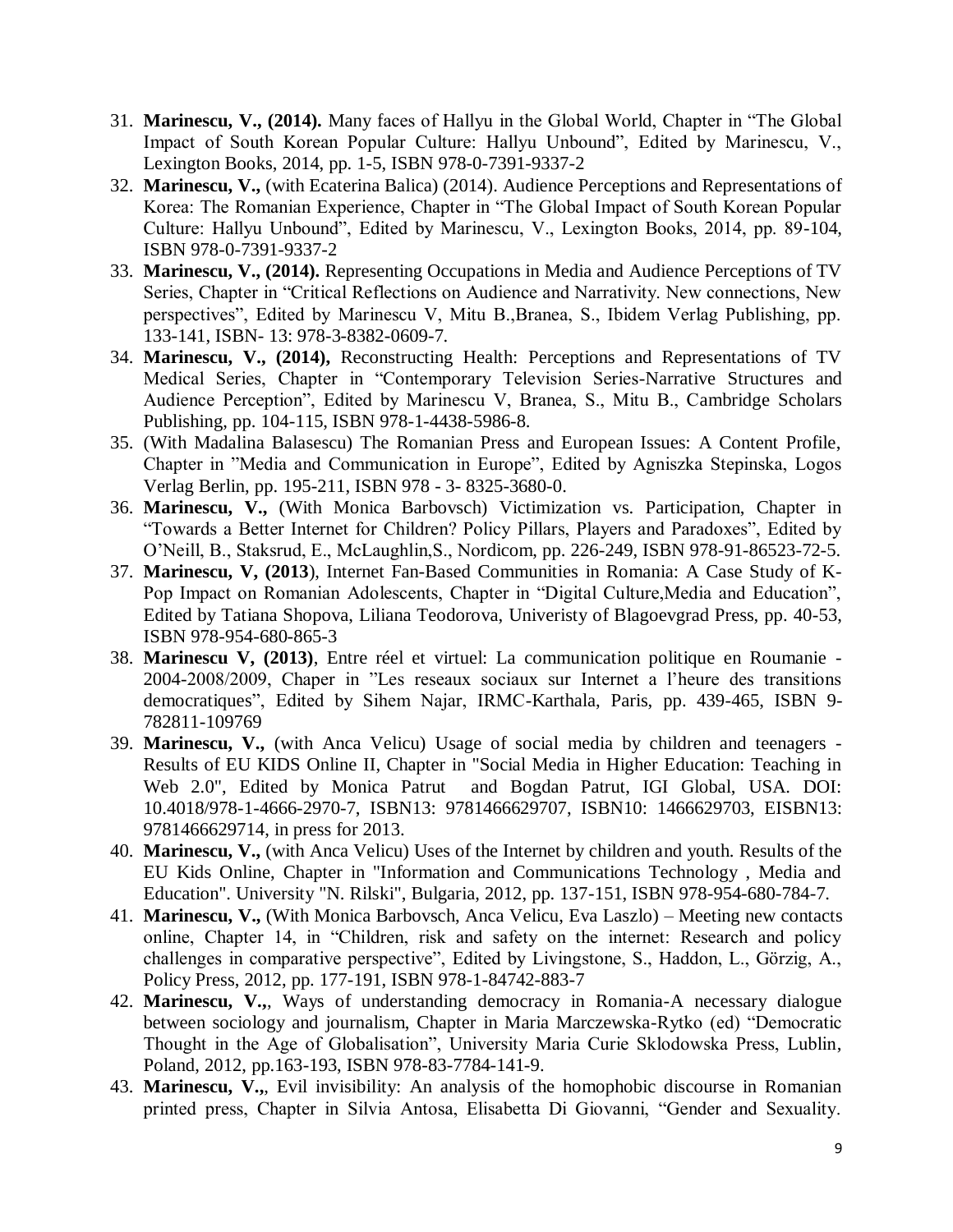- 31. **Marinescu, V., (2014).** Many faces of Hallyu in the Global World, Chapter in "The Global Impact of South Korean Popular Culture: Hallyu Unbound", Edited by Marinescu, V., Lexington Books, 2014, pp. 1-5, ISBN 978-0-7391-9337-2
- 32. **Marinescu, V.,** (with Ecaterina Balica) (2014). Audience Perceptions and Representations of Korea: The Romanian Experience, Chapter in "The Global Impact of South Korean Popular Culture: Hallyu Unbound", Edited by Marinescu, V., Lexington Books, 2014, pp. 89-104, ISBN 978-0-7391-9337-2
- 33. **Marinescu, V., (2014).** Representing Occupations in Media and Audience Perceptions of TV Series, Chapter in "Critical Reflections on Audience and Narrativity. New connections, New perspectives", Edited by Marinescu V, Mitu B.,Branea, S., Ibidem Verlag Publishing, pp. 133-141, ISBN- 13: 978-3-8382-0609-7.
- 34. **Marinescu, V., (2014),** Reconstructing Health: Perceptions and Representations of TV Medical Series, Chapter in "Contemporary Television Series-Narrative Structures and Audience Perception", Edited by Marinescu V, Branea, S., Mitu B., Cambridge Scholars Publishing, pp. 104-115, ISBN 978-1-4438-5986-8.
- 35. (With Madalina Balasescu) The Romanian Press and European Issues: A Content Profile, Chapter in "Media and Communication in Europe", Edited by Agniszka Stepinska, Logos Verlag Berlin, pp. 195-211, ISBN 978 - 3- 8325-3680-0.
- 36. **Marinescu, V.,** (With Monica Barbovsch) Victimization vs. Participation, Chapter in "Towards a Better Internet for Children? Policy Pillars, Players and Paradoxes", Edited by O'Neill, B., Staksrud, E., McLaughlin,S., Nordicom, pp. 226-249, ISBN 978-91-86523-72-5.
- 37. **Marinescu, V, (2013**), Internet Fan-Based Communities in Romania: A Case Study of K-Pop Impact on Romanian Adolescents, Chapter in "Digital Culture,Media and Education", Edited by Tatiana Shopova, Liliana Teodorova, Univeristy of Blagoevgrad Press, pp. 40-53, ISBN 978-954-680-865-3
- 38. **Marinescu V, (2013)**, Entre réel et virtuel: La communication politique en Roumanie 2004-2008/2009, Chaper in "Les reseaux sociaux sur Internet a l'heure des transitions democratiques", Edited by Sihem Najar, IRMC-Karthala, Paris, pp. 439-465, ISBN 9- 782811-109769
- 39. **Marinescu, V.,** (with Anca Velicu) Usage of social media by children and teenagers Results of EU KIDS Online II, Chapter in "Social Media in Higher Education: Teaching in Web 2.0", Edited by Monica Patrut and Bogdan Patrut, IGI Global, USA. DOI: 10.4018/978-1-4666-2970-7, ISBN13: 9781466629707, ISBN10: 1466629703, EISBN13: 9781466629714, in press for 2013.
- 40. **Marinescu, V.,** (with Anca Velicu) Uses of the Internet by children and youth. Results of the EU Kids Online, Chapter in "Information and Communications Technology , Media and Education". University "N. Rilski", Bulgaria, 2012, pp. 137-151, ISBN 978-954-680-784-7.
- 41. **Marinescu, V.,** (With Monica Barbovsch, Anca Velicu, Eva Laszlo) Meeting new contacts online, Chapter 14, in "Children, risk and safety on the internet: Research and policy challenges in comparative perspective", Edited by Livingstone, S., Haddon, L., Görzig, A., Policy Press, 2012, pp. 177-191, ISBN 978-1-84742-883-7
- 42. **Marinescu, V.,**, Ways of understanding democracy in Romania-A necessary dialogue between sociology and journalism, Chapter in Maria Marczewska-Rytko (ed) "Democratic Thought in the Age of Globalisation", University Maria Curie Sklodowska Press, Lublin, Poland, 2012, pp.163-193, ISBN 978-83-7784-141-9.
- 43. **Marinescu, V.,**, Evil invisibility: An analysis of the homophobic discourse in Romanian printed press, Chapter in Silvia Antosa, Elisabetta Di Giovanni, "Gender and Sexuality.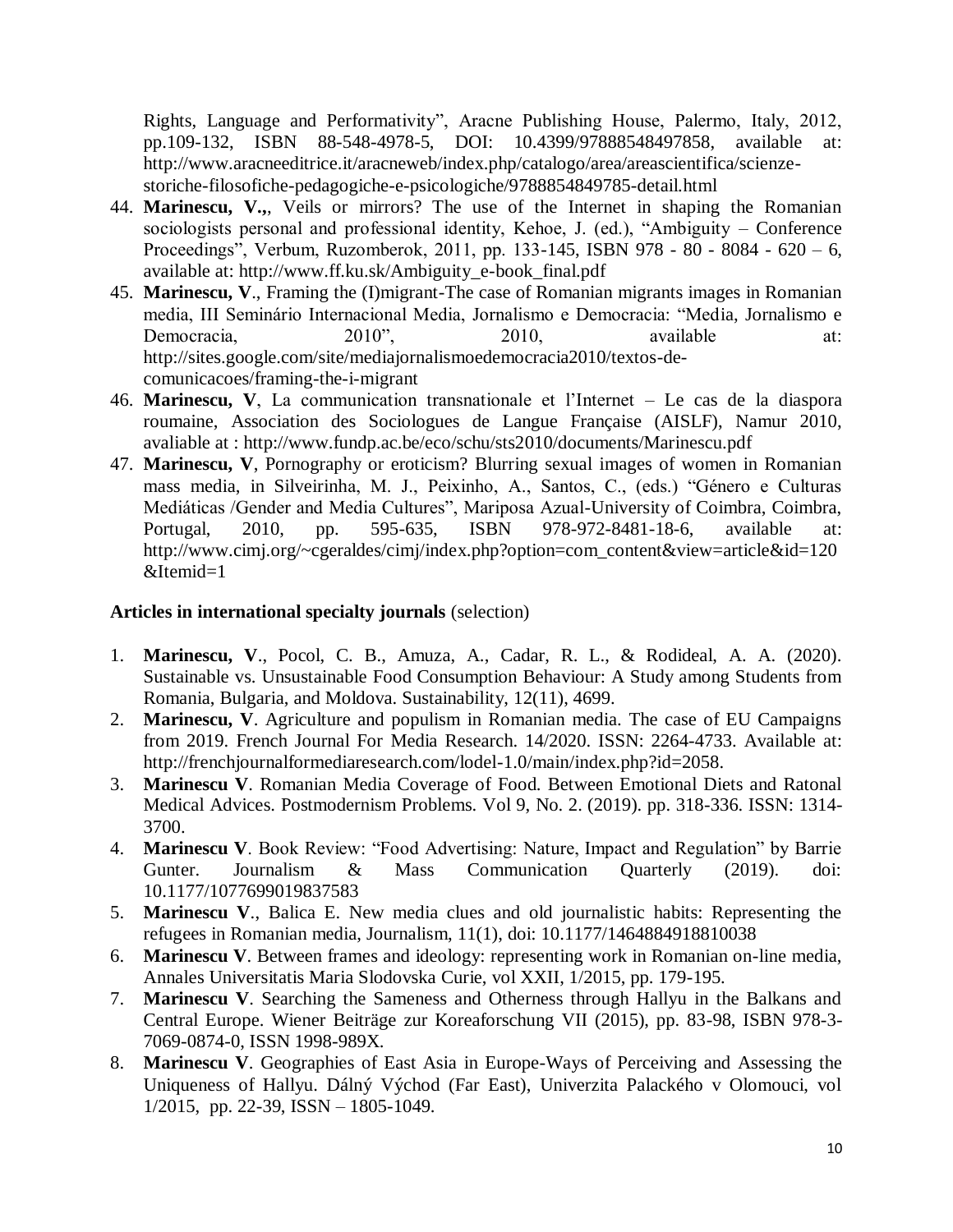Rights, Language and Performativity", Aracne Publishing House, Palermo, Italy, 2012, pp.109-132, ISBN 88-548-4978-5, DOI: 10.4399/97888548497858, available at: http://www.aracneeditrice.it/aracneweb/index.php/catalogo/area/areascientifica/scienzestoriche-filosofiche-pedagogiche-e-psicologiche/9788854849785-detail.html

- 44. **Marinescu, V.,**, Veils or mirrors? The use of the Internet in shaping the Romanian sociologists personal and professional identity, Kehoe, J. (ed.), "Ambiguity – Conference Proceedings", Verbum, Ruzomberok, 2011, pp. 133-145, ISBN 978 - 80 - 8084 - 620 – 6, available at: http://www.ff.ku.sk/Ambiguity\_e-book\_final.pdf
- 45. **Marinescu, V**., Framing the (I)migrant-The case of Romanian migrants images in Romanian media, III Seminário Internacional Media, Jornalismo e Democracia: "Media, Jornalismo e Democracia,  $2010$ ",  $2010$ , available at: http://sites.google.com/site/mediajornalismoedemocracia2010/textos-decomunicacoes/framing-the-i-migrant
- 46. **Marinescu, V**, La communication transnationale et l'Internet Le cas de la diaspora roumaine, Association des Sociologues de Langue Française (AISLF), Namur 2010, avaliable at : http://www.fundp.ac.be/eco/schu/sts2010/documents/Marinescu.pdf
- 47. **Marinescu, V**, Pornography or eroticism? Blurring sexual images of women in Romanian mass media, in Silveirinha, M. J., Peixinho, A., Santos, C., (eds.) "Género e Culturas Mediáticas /Gender and Media Cultures", Mariposa Azual-University of Coimbra, Coimbra, Portugal, 2010, pp. 595-635, ISBN 978-972-8481-18-6, available at: http://www.cimj.org/~cgeraldes/cimj/index.php?option=com\_content&view=article&id=120 &Itemid=1

### **[Articles in international specialty journals](http://spitswww.uvt.nl/~vermunt/#ArtISI)** (selection)

- 1. **Marinescu, V**., Pocol, C. B., Amuza, A., Cadar, R. L., & Rodideal, A. A. (2020). Sustainable vs. Unsustainable Food Consumption Behaviour: A Study among Students from Romania, Bulgaria, and Moldova. Sustainability, 12(11), 4699.
- 2. **Marinescu, V**. Agriculture and populism in Romanian media. The case of EU Campaigns from 2019. French Journal For Media Research. 14/2020. ISSN: 2264-4733. Available at: http://frenchjournalformediaresearch.com/lodel-1.0/main/index.php?id=2058.
- 3. **Marinescu V**. Romanian Media Coverage of Food. Between Emotional Diets and Ratonal Medical Advices. Postmodernism Problems. Vol 9, No. 2. (2019). pp. 318-336. ISSN: 1314- 3700.
- 4. **Marinescu V**. Book Review: "Food Advertising: Nature, Impact and Regulation" by Barrie Gunter. Journalism & Mass Communication Quarterly (2019). doi: 10.1177/1077699019837583
- 5. **Marinescu V**., Balica E. New media clues and old journalistic habits: Representing the refugees in Romanian media, Journalism, 11(1), doi: 10.1177/1464884918810038
- 6. **Marinescu V**. Between frames and ideology: representing work in Romanian on-line media, Annales Universitatis Maria Slodovska Curie, vol XXII, 1/2015, pp. 179-195.
- 7. **Marinescu V**. Searching the Sameness and Otherness through Hallyu in the Balkans and Central Europe. Wiener Beiträge zur Koreaforschung VII (2015), pp. 83-98, ISBN 978-3- 7069-0874-0, ISSN 1998-989X.
- 8. **Marinescu V**. Geographies of East Asia in Europe-Ways of Perceiving and Assessing the Uniqueness of Hallyu. Dálný Východ (Far East), Univerzita Palackého v Olomouci, vol 1/2015, pp. 22-39, ISSN – 1805-1049.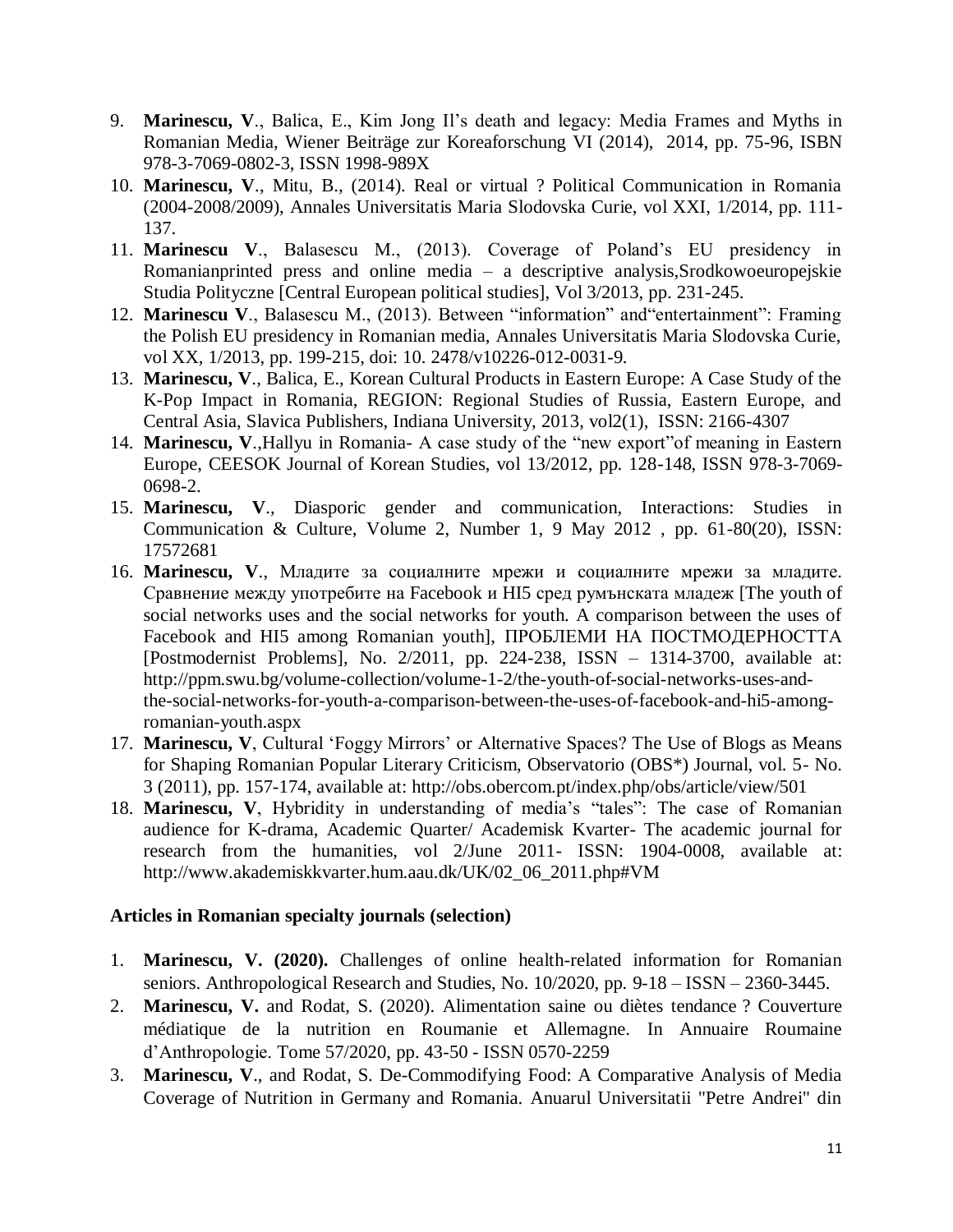- 9. **Marinescu, V**., Balica, E., Kim Jong Il's death and legacy: Media Frames and Myths in Romanian Media, Wiener Beiträge zur Koreaforschung VI (2014), 2014, pp. 75-96, ISBN 978-3-7069-0802-3, ISSN 1998-989X
- 10. **Marinescu, V**., Mitu, B., (2014). Real or virtual ? Political Communication in Romania (2004-2008/2009), Annales Universitatis Maria Slodovska Curie, vol XXI, 1/2014, pp. 111- 137.
- 11. **Marinescu V**., Balasescu M., (2013). Coverage of Poland's EU presidency in Romanianprinted press and online media – a descriptive analysis,Srodkowoeuropejskie Studia Polityczne [Central European political studies], Vol 3/2013, pp. 231-245.
- 12. **Marinescu V**., Balasescu M., (2013). Between "information" and"entertainment": Framing the Polish EU presidency in Romanian media, Annales Universitatis Maria Slodovska Curie, vol XX, 1/2013, pp. 199-215, doi: 10. 2478/v10226-012-0031-9.
- 13. **Marinescu, V**., Balica, E., Korean Cultural Products in Eastern Europe: A Case Study of the K-Pop Impact in Romania, REGION: Regional Studies of Russia, Eastern Europe, and Central Asia, Slavica Publishers, Indiana University, 2013, vol2(1), ISSN: 2166-4307
- 14. **Marinescu, V**.,Hallyu in Romania- A case study of the "new export"of meaning in Eastern Europe, CEESOK Journal of Korean Studies, vol 13/2012, pp. 128-148, ISSN 978-3-7069- 0698-2.
- 15. **Marinescu, V**., Diasporic gender and communication, Interactions: Studies in Communication & Culture, Volume 2, Number 1, 9 May 2012 , pp. 61-80(20), ISSN: 17572681
- 16. **Marinescu, V**., Младите за социалните мрежи и социалните мрежи за младите. Сравнение между употребите на Facebook и HI5 сред румънската младеж [The youth of social networks uses and the social networks for youth. A comparison between the uses of Facebook and HI5 among Romanian youth], ПРОБЛЕМИ НА ПОСТМОДЕРНОСТТА [Postmodernist Problems], No. 2/2011, pp. 224-238, ISSN – 1314-3700, available at: http://ppm.swu.bg/volume-collection/volume-1-2/the-youth-of-social-networks-uses-andthe-social-networks-for-youth-a-comparison-between-the-uses-of-facebook-and-hi5-amongromanian-youth.aspx
- 17. **Marinescu, V**, Cultural 'Foggy Mirrors' or Alternative Spaces? The Use of Blogs as Means for Shaping Romanian Popular Literary Criticism, Observatorio (OBS\*) Journal, vol. 5- No. 3 (2011), pp. 157-174, available at: http://obs.obercom.pt/index.php/obs/article/view/501
- 18. **Marinescu, V**, Hybridity in understanding of media's "tales": The case of Romanian audience for K-drama, Academic Quarter/ Academisk Kvarter- The academic journal for research from the humanities, vol 2/June 2011- ISSN: 1904-0008, available at: http://www.akademiskkvarter.hum.aau.dk/UK/02\_06\_2011.php#VM

# **[Articles in Romanian specialty journals \(](http://spitswww.uvt.nl/~vermunt/#ArtISI)selection)**

- 1. **Marinescu, V. (2020).** Challenges of online health-related information for Romanian seniors. Anthropological Research and Studies, No. 10/2020, pp. 9-18 – ISSN – 2360-3445.
- 2. **Marinescu, V.** and Rodat, S. (2020). Alimentation saine ou diètes tendance ? Couverture médiatique de la nutrition en Roumanie et Allemagne. In Annuaire Roumaine d'Anthropologie. Tome 57/2020, pp. 43-50 - ISSN 0570-2259
- 3. **Marinescu, V**., and Rodat, S. De-Commodifying Food: A Comparative Analysis of Media Coverage of Nutrition in Germany and Romania. Anuarul Universitatii "Petre Andrei" din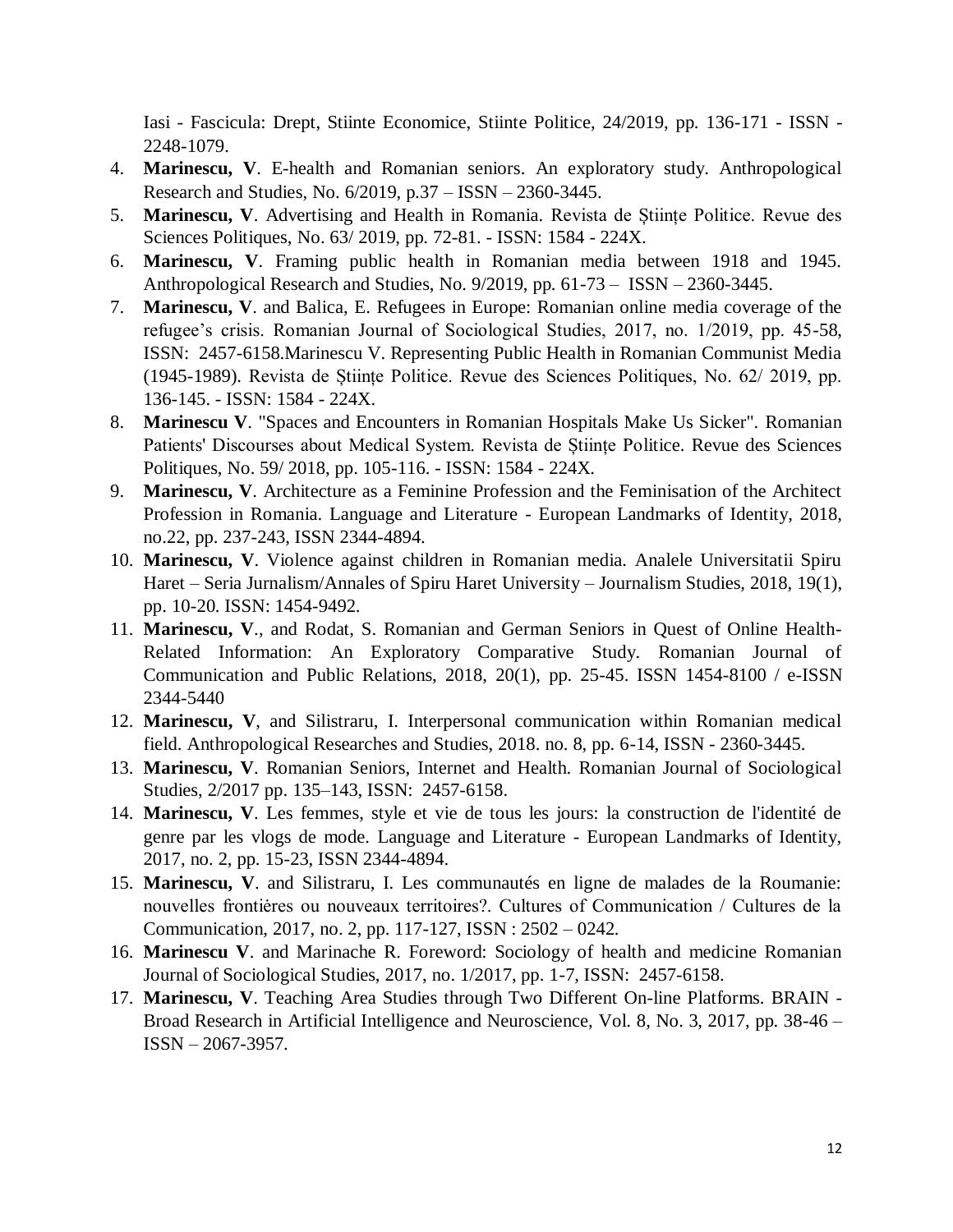Iasi - Fascicula: Drept, Stiinte Economice, Stiinte Politice, 24/2019, pp. 136-171 - ISSN - 2248-1079.

- 4. **Marinescu, V**. E-health and Romanian seniors. An exploratory study. Anthropological Research and Studies, No. 6/2019, p.37 – ISSN – 2360-3445.
- 5. **Marinescu, V**. Advertising and Health in Romania. Revista de Științe Politice. Revue des Sciences Politiques, No. 63/ 2019, pp. 72-81. - ISSN: 1584 - 224X.
- 6. **Marinescu, V**. Framing public health in Romanian media between 1918 and 1945. Anthropological Research and Studies, No. 9/2019, pp. 61-73 – ISSN – 2360-3445.
- 7. **Marinescu, V**. and Balica, E. Refugees in Europe: Romanian online media coverage of the refugee's crisis. Romanian Journal of Sociological Studies, 2017, no. 1/2019, pp. 45-58, ISSN: 2457-6158.Marinescu V. Representing Public Health in Romanian Communist Media (1945-1989). Revista de Științe Politice. Revue des Sciences Politiques, No. 62/ 2019, pp. 136-145. - ISSN: 1584 - 224X.
- 8. **Marinescu V**. "Spaces and Encounters in Romanian Hospitals Make Us Sicker". Romanian Patients' Discourses about Medical System. Revista de Științe Politice. Revue des Sciences Politiques, No. 59/ 2018, pp. 105-116. - ISSN: 1584 - 224X.
- 9. **Marinescu, V**. Architecture as a Feminine Profession and the Feminisation of the Architect Profession in Romania. Language and Literature - European Landmarks of Identity, 2018, no.22, pp. 237-243, ISSN 2344-4894.
- 10. **Marinescu, V**. Violence against children in Romanian media. Analele Universitatii Spiru Haret – Seria Jurnalism/Annales of Spiru Haret University – Journalism Studies, 2018, 19(1), pp. 10-20. ISSN: 1454-9492.
- 11. **Marinescu, V**., and Rodat, S. Romanian and German Seniors in Quest of Online Health-Related Information: An Exploratory Comparative Study. Romanian Journal of Communication and Public Relations, 2018, 20(1), pp. 25-45. ISSN 1454-8100 / e-ISSN 2344-5440
- 12. **Marinescu, V**, and Silistraru, I. Interpersonal communication within Romanian medical field. Anthropological Researches and Studies, 2018. no. 8, pp. 6-14, ISSN - 2360-3445.
- 13. **Marinescu, V**. Romanian Seniors, Internet and Health. Romanian Journal of Sociological Studies, 2/2017 pp. 135–143, ISSN: 2457-6158.
- 14. **Marinescu, V**. Les femmes, style et vie de tous les jours: la construction de l'identité de genre par les vlogs de mode. Language and Literature - European Landmarks of Identity, 2017, no. 2, pp. 15-23, ISSN 2344-4894.
- 15. **Marinescu, V**. and Silistraru, I. Les communautés en ligne de malades de la Roumanie: nouvelles frontiėres ou nouveaux territoires?. Cultures of Communication / Cultures de la Communication, 2017, no. 2, pp. 117-127, ISSN : 2502 – 0242.
- 16. **Marinescu V**. and Marinache R. Foreword: Sociology of health and medicine Romanian Journal of Sociological Studies, 2017, no. 1/2017, pp. 1-7, ISSN: 2457-6158.
- 17. **Marinescu, V**. Teaching Area Studies through Two Different On-line Platforms. BRAIN Broad Research in Artificial Intelligence and Neuroscience, Vol. 8, No. 3, 2017, pp. 38-46 – ISSN – 2067-3957.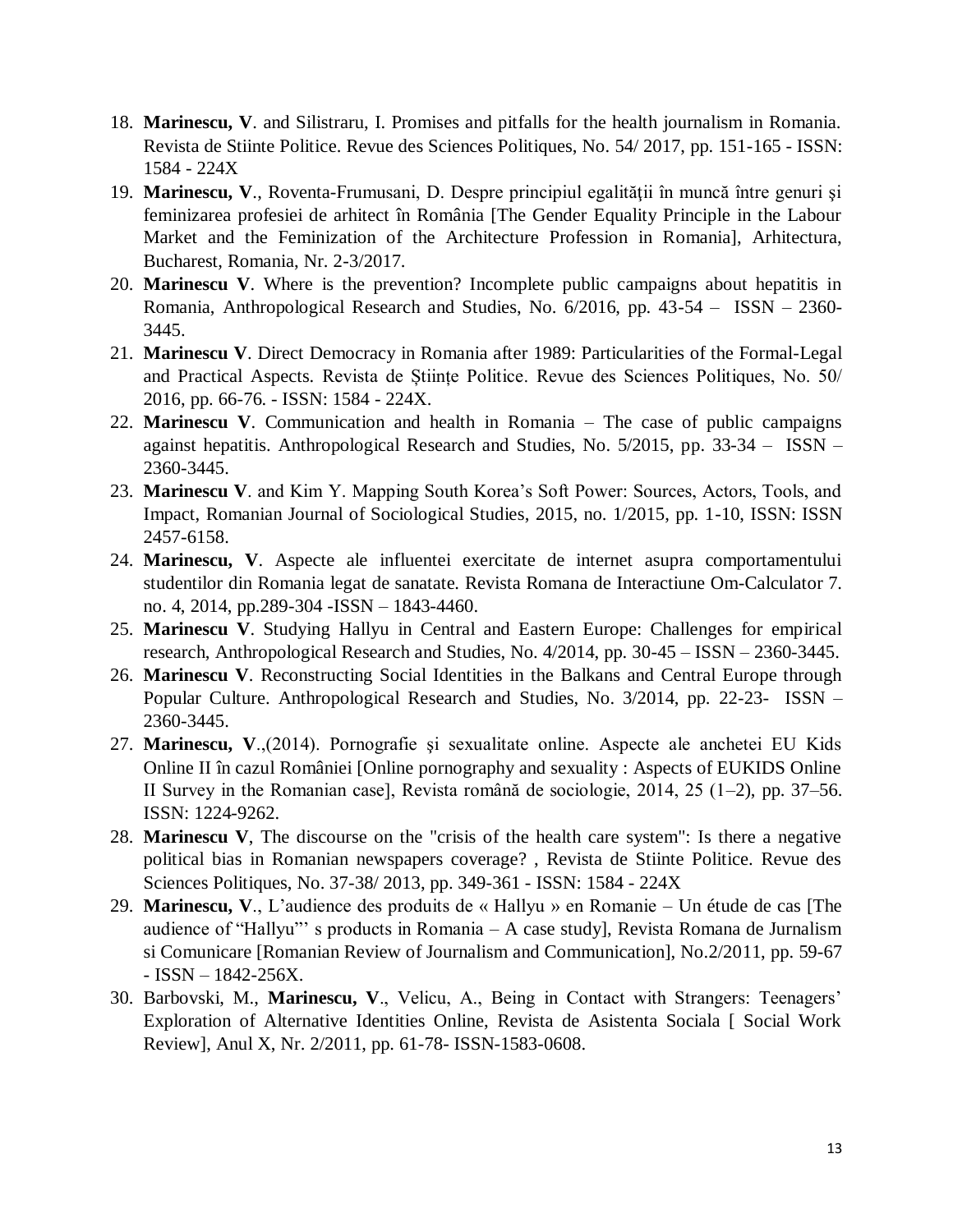- 18. **Marinescu, V**. and Silistraru, I. Promises and pitfalls for the health journalism in Romania. Revista de Stiinte Politice. Revue des Sciences Politiques, No. 54/ 2017, pp. 151-165 - ISSN: 1584 - 224X
- 19. **Marinescu, V**., Roventa-Frumusani, D. Despre principiul egalităţii în muncă între genuri şi feminizarea profesiei de arhitect în România [The Gender Equality Principle in the Labour Market and the Feminization of the Architecture Profession in Romania], Arhitectura, Bucharest, Romania, Nr. 2-3/2017.
- 20. **Marinescu V**. Where is the prevention? Incomplete public campaigns about hepatitis in Romania, Anthropological Research and Studies, No. 6/2016, pp. 43-54 – ISSN – 2360- 3445.
- 21. **Marinescu V**. Direct Democracy in Romania after 1989: Particularities of the Formal-Legal and Practical Aspects. Revista de Științe Politice. Revue des Sciences Politiques, No. 50/ 2016, pp. 66-76. - ISSN: 1584 - 224X.
- 22. **Marinescu V**. Communication and health in Romania The case of public campaigns against hepatitis. Anthropological Research and Studies, No. 5/2015, pp. 33-34 – ISSN – 2360-3445.
- 23. **Marinescu V**. and Kim Y. Mapping South Korea's Soft Power: Sources, Actors, Tools, and Impact, Romanian Journal of Sociological Studies, 2015, no. 1/2015, pp. 1-10, ISSN: ISSN 2457-6158.
- 24. **Marinescu, V**. Aspecte ale influentei exercitate de internet asupra comportamentului studentilor din Romania legat de sanatate. Revista Romana de Interactiune Om-Calculator 7. no. 4, 2014, pp.289-304 -ISSN – 1843-4460.
- 25. **Marinescu V**. Studying Hallyu in Central and Eastern Europe: Challenges for empirical research, Anthropological Research and Studies, No. 4/2014, pp. 30-45 – ISSN – 2360-3445.
- 26. **Marinescu V**. Reconstructing Social Identities in the Balkans and Central Europe through Popular Culture. Anthropological Research and Studies, No. 3/2014, pp. 22-23- ISSN – 2360-3445.
- 27. **Marinescu, V**.,(2014). Pornografie şi sexualitate online. Aspecte ale anchetei EU Kids Online II în cazul României [Online pornography and sexuality : Aspects of EUKIDS Online II Survey in the Romanian case], Revista română de sociologie, 2014, 25 (1–2), pp. 37–56. ISSN: 1224-9262.
- 28. **Marinescu V**, The discourse on the "crisis of the health care system": Is there a negative political bias in Romanian newspapers coverage? , Revista de Stiinte Politice. Revue des Sciences Politiques, No. 37-38/ 2013, pp. 349-361 - ISSN: 1584 - 224X
- 29. **Marinescu, V**., L'audience des produits de « Hallyu » en Romanie Un étude de cas [The audience of "Hallyu"' s products in Romania – A case study], Revista Romana de Jurnalism si Comunicare [Romanian Review of Journalism and Communication], No.2/2011, pp. 59-67 - ISSN – 1842-256X.
- 30. Barbovski, M., **Marinescu, V**., Velicu, A., Being in Contact with Strangers: Teenagers' Exploration of Alternative Identities Online, Revista de Asistenta Sociala [ Social Work Review], Anul X, Nr. 2/2011, pp. 61-78- ISSN-1583-0608.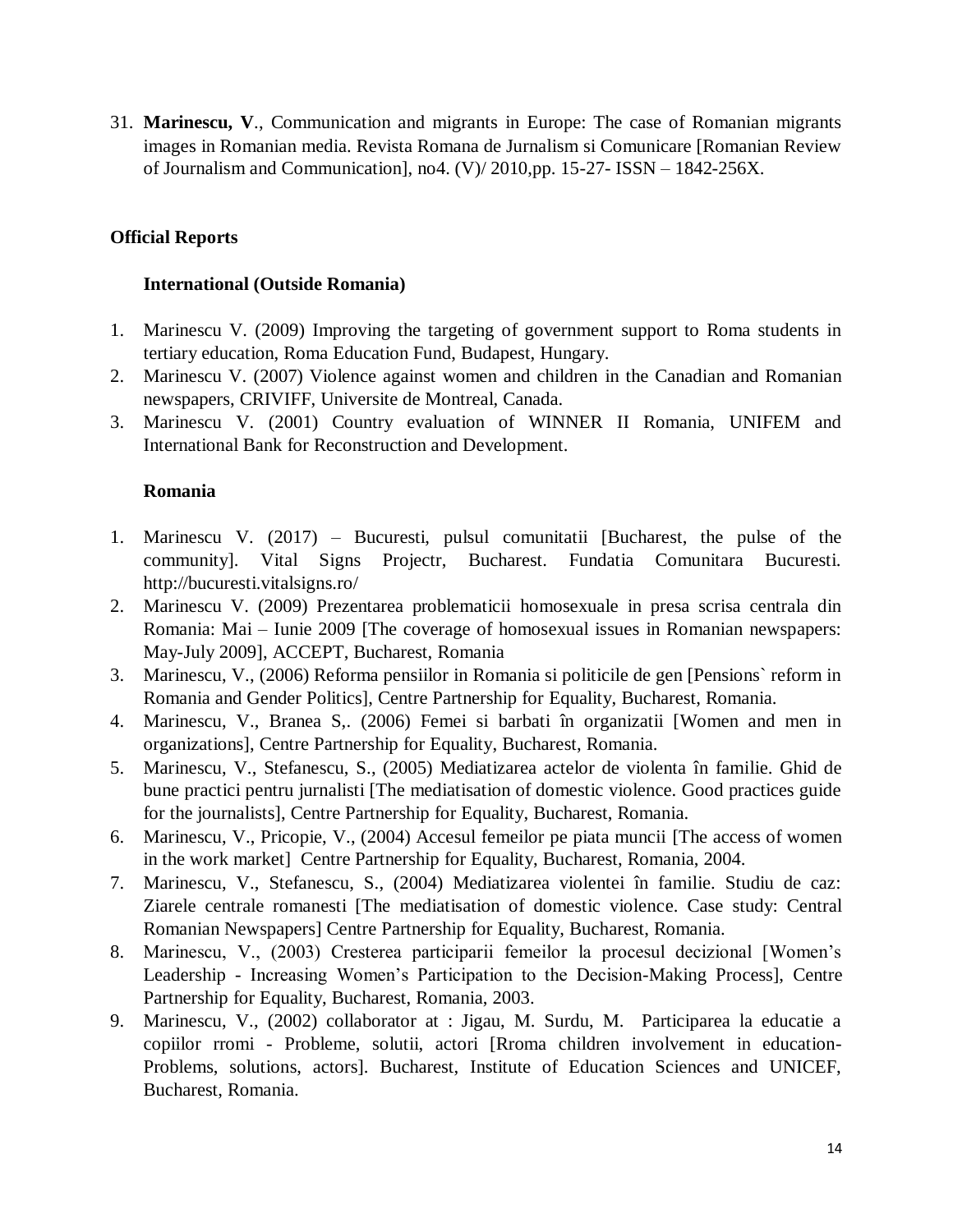31. **Marinescu, V**., Communication and migrants in Europe: The case of Romanian migrants images in Romanian media. Revista Romana de Jurnalism si Comunicare [Romanian Review of Journalism and Communication], no4. (V)/ 2010,pp. 15-27- ISSN – 1842-256X.

# **Official Reports**

### **International (Outside Romania)**

- 1. Marinescu V. (2009) Improving the targeting of government support to Roma students in tertiary education, Roma Education Fund, Budapest, Hungary.
- 2. Marinescu V. (2007) Violence against women and children in the Canadian and Romanian newspapers, CRIVIFF, Universite de Montreal, Canada.
- 3. Marinescu V. (2001) Country evaluation of WINNER II Romania, UNIFEM and International Bank for Reconstruction and Development.

### **Romania**

- 1. Marinescu V. (2017) Bucuresti, pulsul comunitatii [Bucharest, the pulse of the community]. Vital Signs Projectr, Bucharest. Fundatia Comunitara Bucuresti. http://bucuresti.vitalsigns.ro/
- 2. Marinescu V. (2009) Prezentarea problematicii homosexuale in presa scrisa centrala din Romania: Mai – Iunie 2009 [The coverage of homosexual issues in Romanian newspapers: May-July 2009], ACCEPT, Bucharest, Romania
- 3. Marinescu, V., (2006) Reforma pensiilor in Romania si politicile de gen [Pensions` reform in Romania and Gender Politics], Centre Partnership for Equality, Bucharest, Romania.
- 4. Marinescu, V., Branea S,. (2006) Femei si barbati în organizatii [Women and men in organizations], Centre Partnership for Equality, Bucharest, Romania.
- 5. Marinescu, V., Stefanescu, S., (2005) Mediatizarea actelor de violenta în familie. Ghid de bune practici pentru jurnalisti [The mediatisation of domestic violence. Good practices guide for the journalists], Centre Partnership for Equality, Bucharest, Romania.
- 6. Marinescu, V., Pricopie, V., (2004) Accesul femeilor pe piata muncii [The access of women in the work market] Centre Partnership for Equality, Bucharest, Romania, 2004.
- 7. Marinescu, V., Stefanescu, S., (2004) Mediatizarea violentei în familie. Studiu de caz: Ziarele centrale romanesti [The mediatisation of domestic violence. Case study: Central Romanian Newspapers] Centre Partnership for Equality, Bucharest, Romania.
- 8. Marinescu, V., (2003) Cresterea participarii femeilor la procesul decizional [Women's Leadership - Increasing Women's Participation to the Decision-Making Process], Centre Partnership for Equality, Bucharest, Romania, 2003.
- 9. Marinescu, V., (2002) collaborator at : Jigau, M. Surdu, M. Participarea la educatie a copiilor rromi - Probleme, solutii, actori [Rroma children involvement in education-Problems, solutions, actors]. Bucharest, Institute of Education Sciences and UNICEF, Bucharest, Romania.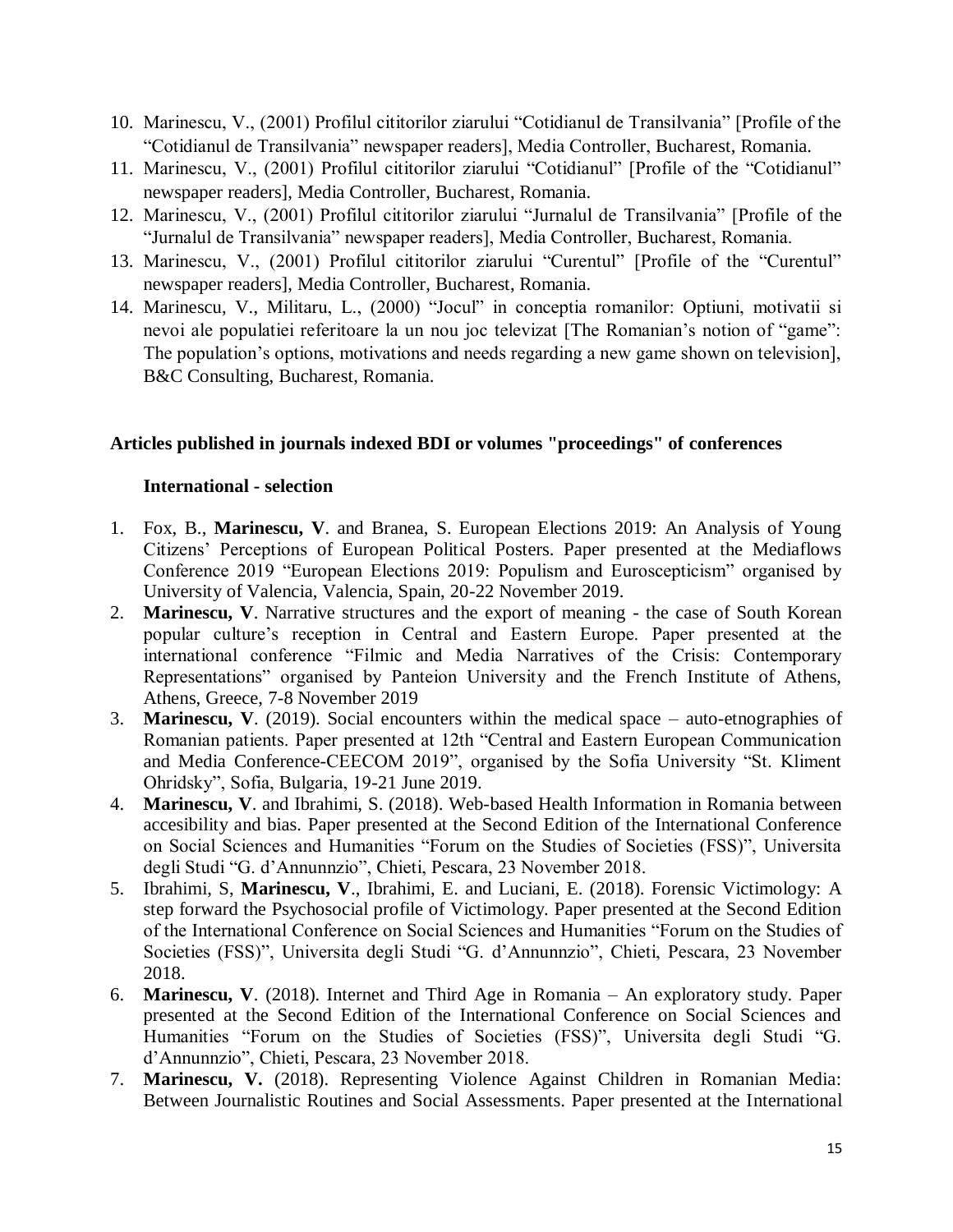- 10. Marinescu, V., (2001) Profilul cititorilor ziarului "Cotidianul de Transilvania" [Profile of the "Cotidianul de Transilvania" newspaper readers], Media Controller, Bucharest, Romania.
- 11. Marinescu, V., (2001) Profilul cititorilor ziarului "Cotidianul" [Profile of the "Cotidianul" newspaper readers], Media Controller, Bucharest, Romania.
- 12. Marinescu, V., (2001) Profilul cititorilor ziarului "Jurnalul de Transilvania" [Profile of the "Jurnalul de Transilvania" newspaper readers], Media Controller, Bucharest, Romania.
- 13. Marinescu, V., (2001) Profilul cititorilor ziarului "Curentul" [Profile of the "Curentul" newspaper readers], Media Controller, Bucharest, Romania.
- 14. Marinescu, V., Militaru, L., (2000) "Jocul" in conceptia romanilor: Optiuni, motivatii si nevoi ale populatiei referitoare la un nou joc televizat [The Romanian's notion of "game": The population's options, motivations and needs regarding a new game shown on television], B&C Consulting, Bucharest, Romania.

# **Articles published in journals indexed BDI or volumes "proceedings" of conferences**

### **International - selection**

- 1. Fox, B., **Marinescu, V**. and Branea, S. European Elections 2019: An Analysis of Young Citizens' Perceptions of European Political Posters. Paper presented at the Mediaflows Conference 2019 "European Elections 2019: Populism and Euroscepticism" organised by University of Valencia, Valencia, Spain, 20-22 November 2019.
- 2. **Marinescu, V**. Narrative structures and the export of meaning the case of South Korean popular culture's reception in Central and Eastern Europe. Paper presented at the international conference "Filmic and Media Narratives of the Crisis: Contemporary Representations" organised by Panteion University and the French Institute of Athens, Athens, Greece, 7-8 November 2019
- 3. **Marinescu, V**. (2019). Social encounters within the medical space auto-etnographies of Romanian patients. Paper presented at 12th "Central and Eastern European Communication and Media Conference-CEECOM 2019", organised by the Sofia University "St. Kliment Ohridsky", Sofia, Bulgaria, 19-21 June 2019.
- 4. **Marinescu, V**. and Ibrahimi, S. (2018). Web-based Health Information in Romania between accesibility and bias. Paper presented at the Second Edition of the International Conference on Social Sciences and Humanities "Forum on the Studies of Societies (FSS)", Universita degli Studi "G. d'Annunnzio", Chieti, Pescara, 23 November 2018.
- 5. Ibrahimi, S, **Marinescu, V**., Ibrahimi, E. and Luciani, E. (2018). Forensic Victimology: A step forward the Psychosocial profile of Victimology. Paper presented at the Second Edition of the International Conference on Social Sciences and Humanities "Forum on the Studies of Societies (FSS)", Universita degli Studi "G. d'Annunnzio", Chieti, Pescara, 23 November 2018.
- 6. **Marinescu, V**. (2018). Internet and Third Age in Romania An exploratory study. Paper presented at the Second Edition of the International Conference on Social Sciences and Humanities "Forum on the Studies of Societies (FSS)", Universita degli Studi "G. d'Annunnzio", Chieti, Pescara, 23 November 2018.
- 7. **Marinescu, V.** (2018). Representing Violence Against Children in Romanian Media: Between Journalistic Routines and Social Assessments. Paper presented at the International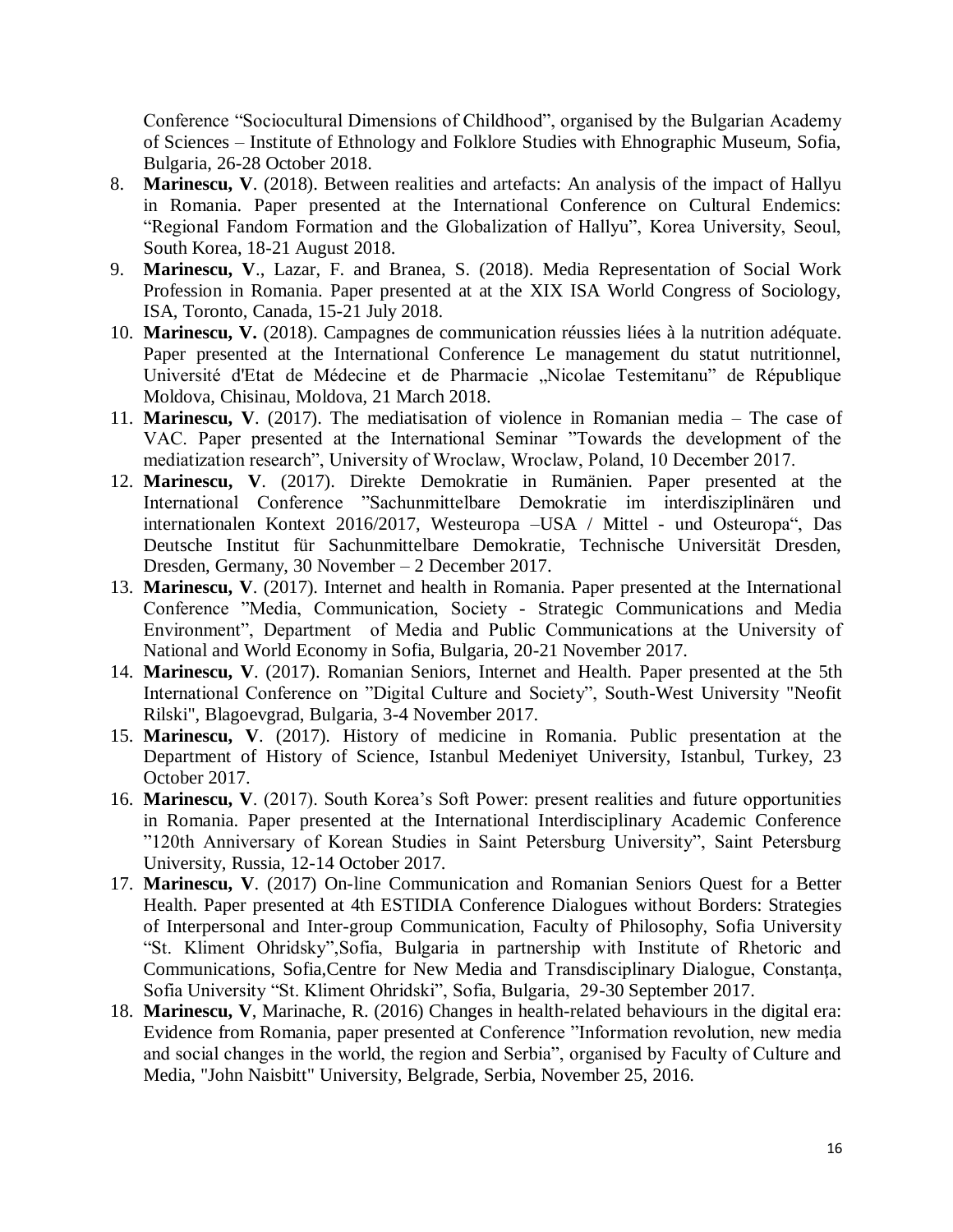Conference "Sociocultural Dimensions of Childhood", organised by the Bulgarian Academy of Sciences – Institute of Ethnology and Folklore Studies with Ehnographic Museum, Sofia, Bulgaria, 26-28 October 2018.

- 8. **Marinescu, V**. (2018). Between realities and artefacts: An analysis of the impact of Hallyu in Romania. Paper presented at the International Conference on Cultural Endemics: "Regional Fandom Formation and the Globalization of Hallyu", Korea University, Seoul, South Korea, 18-21 August 2018.
- 9. **Marinescu, V**., Lazar, F. and Branea, S. (2018). Media Representation of Social Work Profession in Romania. Paper presented at at the XIX ISA World Congress of Sociology, ISA, Toronto, Canada, 15-21 July 2018.
- 10. **Marinescu, V.** (2018). Campagnes de communication réussies liées à la nutrition adéquate. Paper presented at the International Conference Le management du statut nutritionnel, Université d'Etat de Médecine et de Pharmacie "Nicolae Testemitanu" de République Moldova, Chisinau, Moldova, 21 March 2018.
- 11. **Marinescu, V**. (2017). The mediatisation of violence in Romanian media The case of VAC. Paper presented at the International Seminar "Towards the development of the mediatization research", University of Wroclaw, Wroclaw, Poland, 10 December 2017.
- 12. **Marinescu, V**. (2017). Direkte Demokratie in Rumänien. Paper presented at the International Conference "Sachunmittelbare Demokratie im interdisziplinären und internationalen Kontext 2016/2017, Westeuropa –USA / Mittel - und Osteuropa", Das Deutsche Institut für Sachunmittelbare Demokratie, Technische Universität Dresden, Dresden, Germany, 30 November – 2 December 2017.
- 13. **Marinescu, V**. (2017). Internet and health in Romania. Paper presented at the International Conference "Media, Communication, Society - Strategic Communications and Media Environment", Department of Media and Public Communications at the University of National and World Economy in Sofia, Bulgaria, 20-21 November 2017.
- 14. **Marinescu, V**. (2017). Romanian Seniors, Internet and Health. Paper presented at the 5th International Conference on "Digital Culture and Society", South-West University "Neofit Rilski", Blagoevgrad, Bulgaria, 3-4 November 2017.
- 15. **Marinescu, V**. (2017). History of medicine in Romania. Public presentation at the Department of History of Science, Istanbul Medeniyet University, Istanbul, Turkey, 23 October 2017.
- 16. **Marinescu, V**. (2017). South Korea's Soft Power: present realities and future opportunities in Romania. Paper presented at the International Interdisciplinary Academic Conference "120th Anniversary of Korean Studies in Saint Petersburg University", Saint Petersburg University, Russia, 12-14 October 2017.
- 17. **Marinescu, V**. (2017) On-line Communication and Romanian Seniors Quest for a Better Health. Paper presented at 4th ESTIDIA Conference Dialogues without Borders: Strategies of Interpersonal and Inter-group Communication, Faculty of Philosophy, Sofia University "St. Kliment Ohridsky",Sofia, Bulgaria in partnership with Institute of Rhetoric and Communications, Sofia,Centre for New Media and Transdisciplinary Dialogue, Constanţa, Sofia University "St. Kliment Ohridski", Sofia, Bulgaria, 29-30 September 2017.
- 18. **Marinescu, V**, Marinache, R. (2016) Changes in health-related behaviours in the digital era: Evidence from Romania, paper presented at Conference "Information revolution, new media and social changes in the world, the region and Serbia", organised by Faculty of Culture and Media, "John Naisbitt" University, Belgrade, Serbia, November 25, 2016.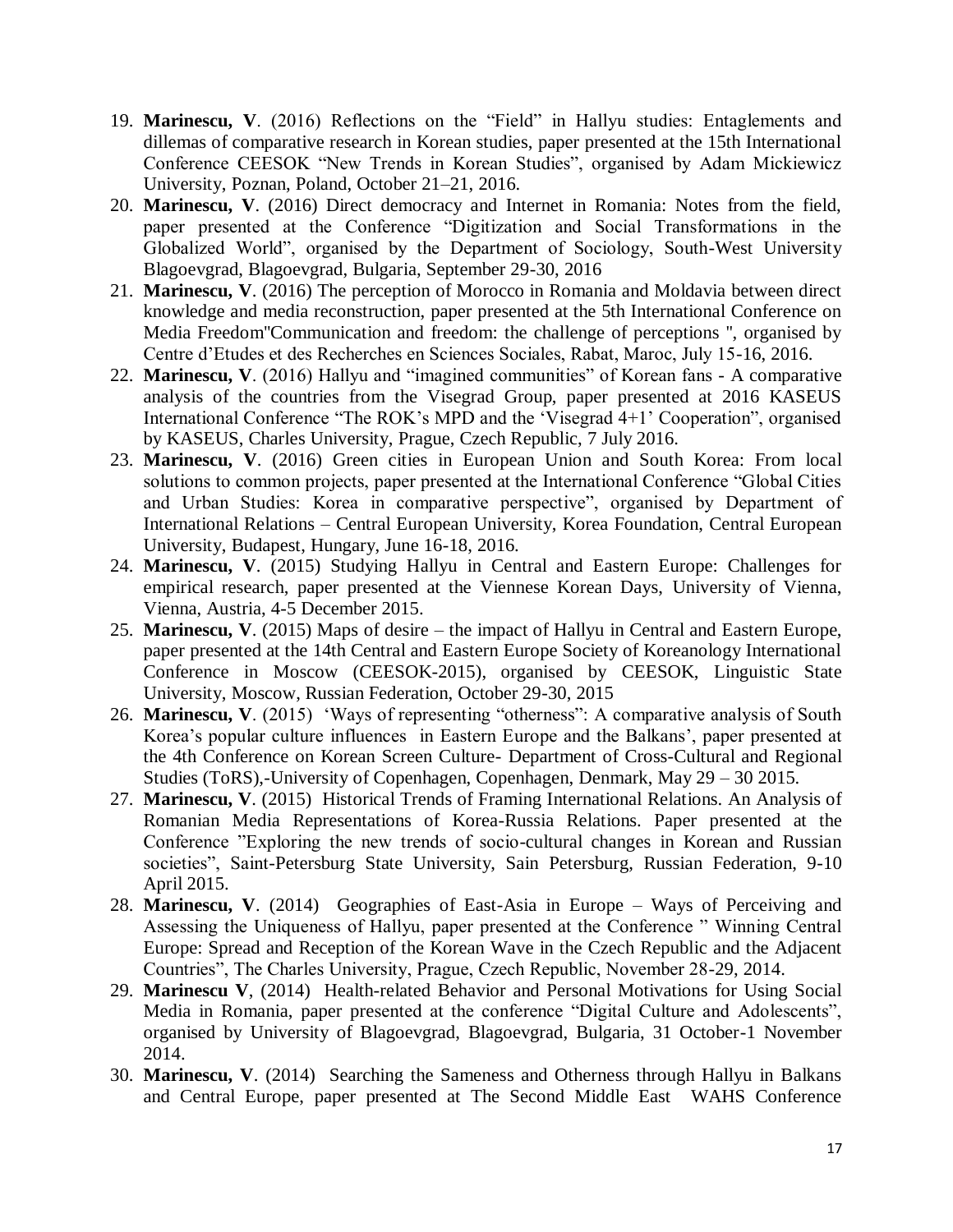- 19. **Marinescu, V**. (2016) Reflections on the "Field" in Hallyu studies: Entaglements and dillemas of comparative research in Korean studies, paper presented at the 15th International Conference CEESOK "New Trends in Korean Studies", organised by Adam Mickiewicz University, Poznan, Poland, October 21–21, 2016.
- 20. **Marinescu, V**. (2016) Direct democracy and Internet in Romania: Notes from the field, paper presented at the Conference "Digitization and Social Transformations in the Globalized World", organised by the Department of Sociology, South-West University Blagoevgrad, Blagoevgrad, Bulgaria, September 29-30, 2016
- 21. **Marinescu, V**. (2016) The perception of Morocco in Romania and Moldavia between direct knowledge and media reconstruction, paper presented at the 5th International Conference on Media Freedom''Communication and freedom: the challenge of perceptions '', organised by Centre d'Etudes et des Recherches en Sciences Sociales, Rabat, Maroc, July 15-16, 2016.
- 22. **Marinescu, V**. (2016) Hallyu and "imagined communities" of Korean fans A comparative analysis of the countries from the Visegrad Group, paper presented at 2016 KASEUS International Conference "The ROK's MPD and the 'Visegrad 4+1' Cooperation", organised by KASEUS, Charles University, Prague, Czech Republic, 7 July 2016.
- 23. **Marinescu, V**. (2016) Green cities in European Union and South Korea: From local solutions to common projects, paper presented at the International Conference "Global Cities and Urban Studies: Korea in comparative perspective", organised by Department of International Relations – Central European University, Korea Foundation, Central European University, Budapest, Hungary, June 16-18, 2016.
- 24. **Marinescu, V**. (2015) Studying Hallyu in Central and Eastern Europe: Challenges for empirical research, paper presented at the Viennese Korean Days, University of Vienna, Vienna, Austria, 4-5 December 2015.
- 25. **Marinescu, V**. (2015) Maps of desire the impact of Hallyu in Central and Eastern Europe, paper presented at the 14th Central and Eastern Europe Society of Koreanology International Conference in Moscow (CEESOK-2015), organised by CEESOK, Linguistic State University, Moscow, Russian Federation, October 29-30, 2015
- 26. **Marinescu, V**. (2015) 'Ways of representing "otherness": A comparative analysis of South Korea's popular culture influences in Eastern Europe and the Balkans', paper presented at the 4th Conference on Korean Screen Culture- Department of Cross-Cultural and Regional Studies (ToRS),-University of Copenhagen, Copenhagen, Denmark, May 29 – 30 2015.
- 27. **Marinescu, V**. (2015) Historical Trends of Framing International Relations. An Analysis of Romanian Media Representations of Korea-Russia Relations. Paper presented at the Conference "Exploring the new trends of socio-cultural changes in Korean and Russian societies", Saint-Petersburg State University, Sain Petersburg, Russian Federation, 9-10 April 2015.
- 28. **Marinescu, V**. (2014) Geographies of East-Asia in Europe Ways of Perceiving and Assessing the Uniqueness of Hallyu, paper presented at the Conference " Winning Central Europe: Spread and Reception of the Korean Wave in the Czech Republic and the Adjacent Countries", The Charles University, Prague, Czech Republic, November 28-29, 2014.
- 29. **Marinescu V**, (2014) Health-related Behavior and Personal Motivations for Using Social Media in Romania, paper presented at the conference "Digital Culture and Adolescents", organised by University of Blagoevgrad, Blagoevgrad, Bulgaria, 31 October-1 November 2014.
- 30. **Marinescu, V**. (2014) Searching the Sameness and Otherness through Hallyu in Balkans and Central Europe, paper presented at The Second Middle East WAHS Conference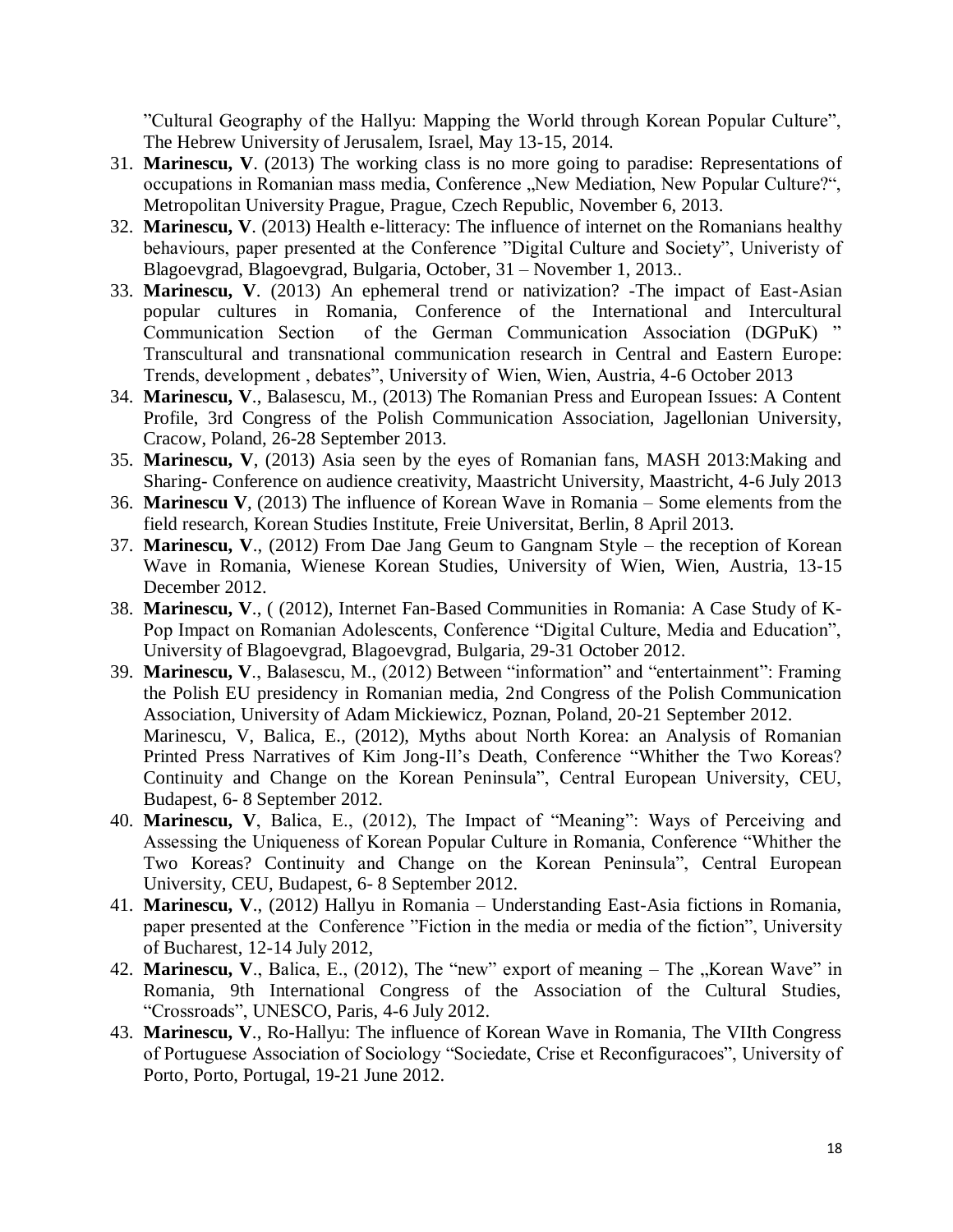"Cultural Geography of the Hallyu: Mapping the World through Korean Popular Culture", The Hebrew University of Jerusalem, Israel, May 13-15, 2014.

- 31. **Marinescu, V**. (2013) The working class is no more going to paradise: Representations of occupations in Romanian mass media, Conference "New Mediation, New Popular Culture?", Metropolitan University Prague, Prague, Czech Republic, November 6, 2013.
- 32. **Marinescu, V**. (2013) Health e-litteracy: The influence of internet on the Romanians healthy behaviours, paper presented at the Conference "Digital Culture and Society", Univeristy of Blagoevgrad, Blagoevgrad, Bulgaria, October, 31 – November 1, 2013..
- 33. **Marinescu, V**. (2013) An ephemeral trend or nativization? -The impact of East-Asian popular cultures in Romania, Conference of the International and Intercultural Communication Section of the German Communication Association (DGPuK) " Transcultural and transnational communication research in Central and Eastern Europe: Trends, development , debates", University of Wien, Wien, Austria, 4-6 October 2013
- 34. **Marinescu, V**., Balasescu, M., (2013) The Romanian Press and European Issues: A Content Profile, 3rd Congress of the Polish Communication Association, Jagellonian University, Cracow, Poland, 26-28 September 2013.
- 35. **Marinescu, V**, (2013) Asia seen by the eyes of Romanian fans, MASH 2013:Making and Sharing- Conference on audience creativity, Maastricht University, Maastricht, 4-6 July 2013
- 36. **Marinescu V**, (2013) The influence of Korean Wave in Romania Some elements from the field research, Korean Studies Institute, Freie Universitat, Berlin, 8 April 2013.
- 37. **Marinescu, V**., (2012) From Dae Jang Geum to Gangnam Style the reception of Korean Wave in Romania, Wienese Korean Studies, University of Wien, Wien, Austria, 13-15 December 2012.
- 38. **Marinescu, V**., ( (2012), Internet Fan-Based Communities in Romania: A Case Study of K-Pop Impact on Romanian Adolescents, Conference "Digital Culture, Media and Education", University of Blagoevgrad, Blagoevgrad, Bulgaria, 29-31 October 2012.
- 39. **Marinescu, V**., Balasescu, M., (2012) Between "information" and "entertainment": Framing the Polish EU presidency in Romanian media, 2nd Congress of the Polish Communication Association, University of Adam Mickiewicz, Poznan, Poland, 20-21 September 2012. Marinescu, V, Balica, E., (2012), Myths about North Korea: an Analysis of Romanian Printed Press Narratives of Kim Jong-Il's Death, Conference "Whither the Two Koreas? Continuity and Change on the Korean Peninsula", Central European University, CEU, Budapest, 6- 8 September 2012.
- 40. **Marinescu, V**, Balica, E., (2012), The Impact of "Meaning": Ways of Perceiving and Assessing the Uniqueness of Korean Popular Culture in Romania, Conference "Whither the Two Koreas? Continuity and Change on the Korean Peninsula", Central European University, CEU, Budapest, 6- 8 September 2012.
- 41. **Marinescu, V**., (2012) Hallyu in Romania Understanding East-Asia fictions in Romania, paper presented at the Conference "Fiction in the media or media of the fiction", University of Bucharest, 12-14 July 2012,
- 42. **Marinescu, V.**, Balica, E., (2012), The "new" export of meaning The "Korean Wave" in Romania, 9th International Congress of the Association of the Cultural Studies, "Crossroads", UNESCO, Paris, 4-6 July 2012.
- 43. **Marinescu, V**., Ro-Hallyu: The influence of Korean Wave in Romania, The VIIth Congress of Portuguese Association of Sociology "Sociedate, Crise et Reconfiguracoes", University of Porto, Porto, Portugal, 19-21 June 2012.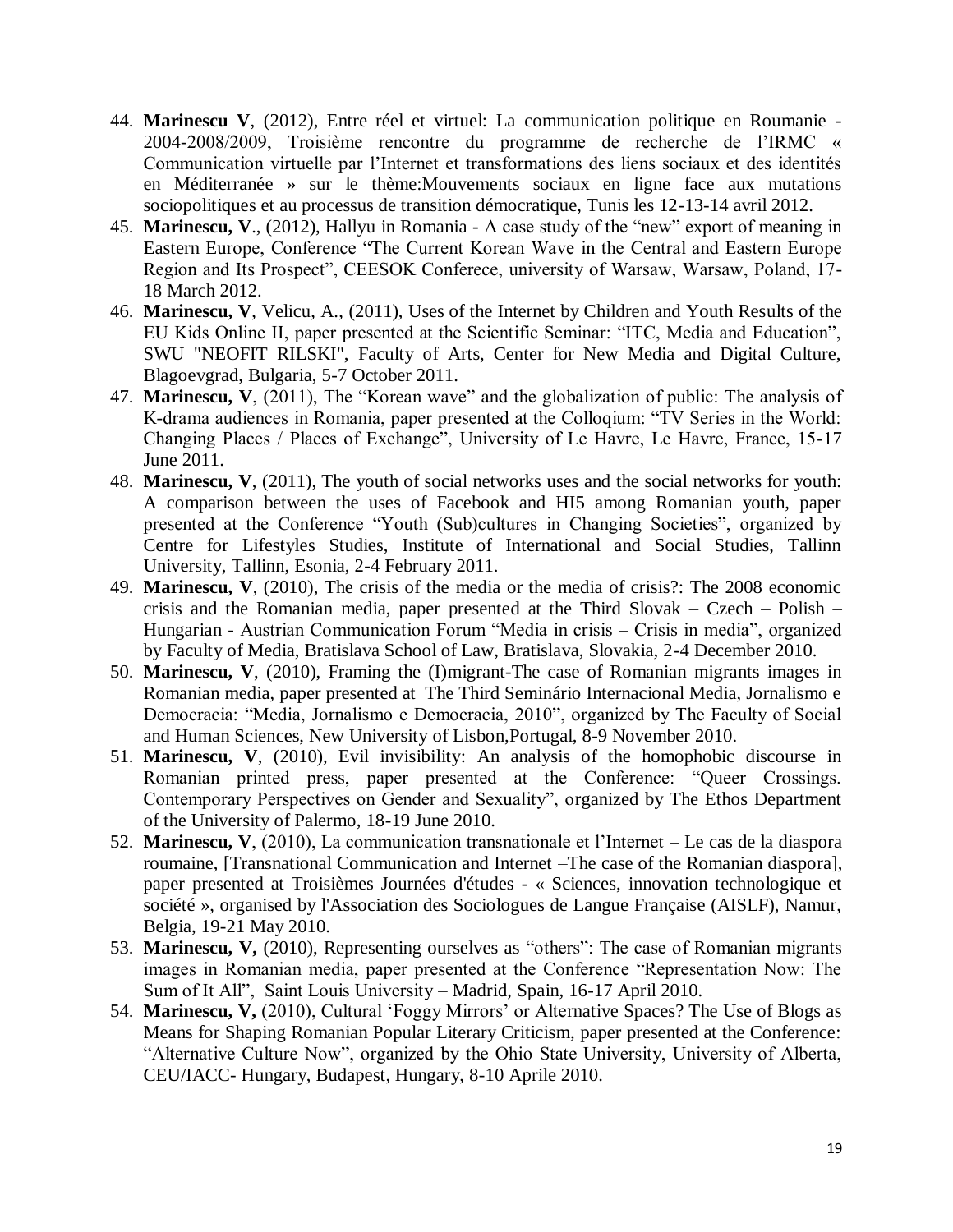- 44. **Marinescu V**, (2012), Entre réel et virtuel: La communication politique en Roumanie 2004-2008/2009, Troisième rencontre du programme de recherche de l'IRMC « Communication virtuelle par l'Internet et transformations des liens sociaux et des identités en Méditerranée » sur le thème:Mouvements sociaux en ligne face aux mutations sociopolitiques et au processus de transition démocratique, Tunis les 12-13-14 avril 2012.
- 45. **Marinescu, V**., (2012), Hallyu in Romania A case study of the "new" export of meaning in Eastern Europe, Conference "The Current Korean Wave in the Central and Eastern Europe Region and Its Prospect", CEESOK Conferece, university of Warsaw, Warsaw, Poland, 17- 18 March 2012.
- 46. **Marinescu, V**, Velicu, A., (2011), Uses of the Internet by Children and Youth Results of the EU Kids Online II, paper presented at the Scientific Seminar: "ITC, Media and Education", SWU "NEOFIT RILSKI", Faculty of Arts, Center for New Media and Digital Culture, Blagoevgrad, Bulgaria, 5-7 October 2011.
- 47. **Marinescu, V**, (2011), The "Korean wave" and the globalization of public: The analysis of K-drama audiences in Romania, paper presented at the Colloqium: "TV Series in the World: Changing Places / Places of Exchange", University of Le Havre, Le Havre, France, 15-17 June 2011.
- 48. **Marinescu, V**, (2011), The youth of social networks uses and the social networks for youth: A comparison between the uses of Facebook and HI5 among Romanian youth, paper presented at the Conference "Youth (Sub)cultures in Changing Societies", organized by Centre for Lifestyles Studies, Institute of International and Social Studies, Tallinn University, Tallinn, Esonia, 2-4 February 2011.
- 49. **Marinescu, V**, (2010), The crisis of the media or the media of crisis?: The 2008 economic crisis and the Romanian media, paper presented at the Third Slovak – Czech – Polish – Hungarian - Austrian Communication Forum "Media in crisis – Crisis in media", organized by Faculty of Media, Bratislava School of Law, Bratislava, Slovakia, 2-4 December 2010.
- 50. **Marinescu, V**, (2010), Framing the (I)migrant-The case of Romanian migrants images in Romanian media, paper presented at The Third Seminário Internacional Media, Jornalismo e Democracia: "Media, Jornalismo e Democracia, 2010", organized by The Faculty of Social and Human Sciences, New University of Lisbon,Portugal, 8-9 November 2010.
- 51. **Marinescu, V**, (2010), Evil invisibility: An analysis of the homophobic discourse in Romanian printed press, paper presented at the Conference: "Queer Crossings. Contemporary Perspectives on Gender and Sexuality", organized by The Ethos Department of the University of Palermo, 18-19 June 2010.
- 52. **Marinescu, V**, (2010), La communication transnationale et l'Internet Le cas de la diaspora roumaine, [Transnational Communication and Internet –The case of the Romanian diaspora], paper presented at Troisièmes Journées d'études - « Sciences, innovation technologique et société », organised by l'Association des Sociologues de Langue Française (AISLF), Namur, Belgia, 19-21 May 2010.
- 53. **Marinescu, V,** (2010), Representing ourselves as "others": The case of Romanian migrants images in Romanian media, paper presented at the Conference "Representation Now: The Sum of It All", Saint Louis University – Madrid, Spain, 16-17 April 2010.
- 54. **Marinescu, V,** (2010), Cultural 'Foggy Mirrors' or Alternative Spaces? The Use of Blogs as Means for Shaping Romanian Popular Literary Criticism, paper presented at the Conference: "Alternative Culture Now", organized by the Ohio State University, University of Alberta, CEU/IACC- Hungary, Budapest, Hungary, 8-10 Aprile 2010.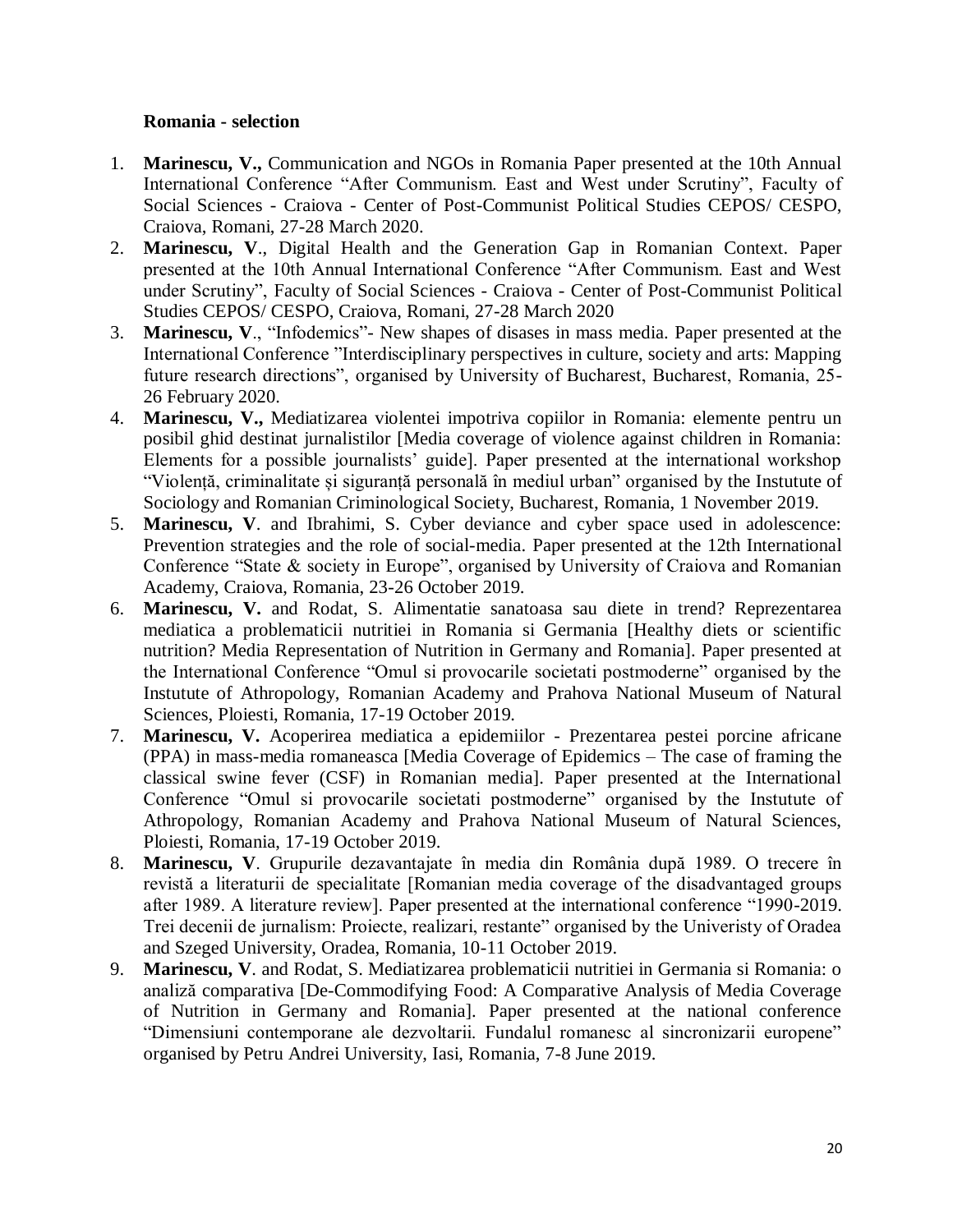### **Romania - selection**

- 1. **Marinescu, V.,** Communication and NGOs in Romania Paper presented at the 10th Annual International Conference "After Communism. East and West under Scrutiny", Faculty of Social Sciences - Craiova - Center of Post-Communist Political Studies CEPOS/ CESPO, Craiova, Romani, 27-28 March 2020.
- 2. **Marinescu, V**., Digital Health and the Generation Gap in Romanian Context. Paper presented at the 10th Annual International Conference "After Communism. East and West under Scrutiny", Faculty of Social Sciences - Craiova - Center of Post-Communist Political Studies CEPOS/ CESPO, Craiova, Romani, 27-28 March 2020
- 3. **Marinescu, V**., "Infodemics"- New shapes of disases in mass media. Paper presented at the International Conference "Interdisciplinary perspectives in culture, society and arts: Mapping future research directions", organised by University of Bucharest, Bucharest, Romania, 25- 26 February 2020.
- 4. **Marinescu, V.,** Mediatizarea violentei impotriva copiilor in Romania: elemente pentru un posibil ghid destinat jurnalistilor [Media coverage of violence against children in Romania: Elements for a possible journalists' guide]. Paper presented at the international workshop "Violență, criminalitate și siguranță personală în mediul urban" organised by the Instutute of Sociology and Romanian Criminological Society, Bucharest, Romania, 1 November 2019.
- 5. **Marinescu, V**. and Ibrahimi, S. Cyber deviance and cyber space used in adolescence: Prevention strategies and the role of social-media. Paper presented at the 12th International Conference "State & society in Europe", organised by University of Craiova and Romanian Academy, Craiova, Romania, 23-26 October 2019.
- 6. **Marinescu, V.** and Rodat, S. Alimentatie sanatoasa sau diete in trend? Reprezentarea mediatica a problematicii nutritiei in Romania si Germania [Healthy diets or scientific nutrition? Media Representation of Nutrition in Germany and Romania]. Paper presented at the International Conference "Omul si provocarile societati postmoderne" organised by the Instutute of Athropology, Romanian Academy and Prahova National Museum of Natural Sciences, Ploiesti, Romania, 17-19 October 2019.
- 7. **Marinescu, V.** Acoperirea mediatica a epidemiilor Prezentarea pestei porcine africane (PPA) in mass-media romaneasca [Media Coverage of Epidemics – The case of framing the classical swine fever (CSF) in Romanian media]. Paper presented at the International Conference "Omul si provocarile societati postmoderne" organised by the Instutute of Athropology, Romanian Academy and Prahova National Museum of Natural Sciences, Ploiesti, Romania, 17-19 October 2019.
- 8. **Marinescu, V**. Grupurile dezavantajate în media din România după 1989. O trecere în revistă a literaturii de specialitate [Romanian media coverage of the disadvantaged groups after 1989. A literature review]. Paper presented at the international conference "1990-2019. Trei decenii de jurnalism: Proiecte, realizari, restante" organised by the Univeristy of Oradea and Szeged University, Oradea, Romania, 10-11 October 2019.
- 9. **Marinescu, V**. and Rodat, S. Mediatizarea problematicii nutritiei in Germania si Romania: o analiză comparativa [De-Commodifying Food: A Comparative Analysis of Media Coverage of Nutrition in Germany and Romania]. Paper presented at the national conference "Dimensiuni contemporane ale dezvoltarii. Fundalul romanesc al sincronizarii europene" organised by Petru Andrei University, Iasi, Romania, 7-8 June 2019.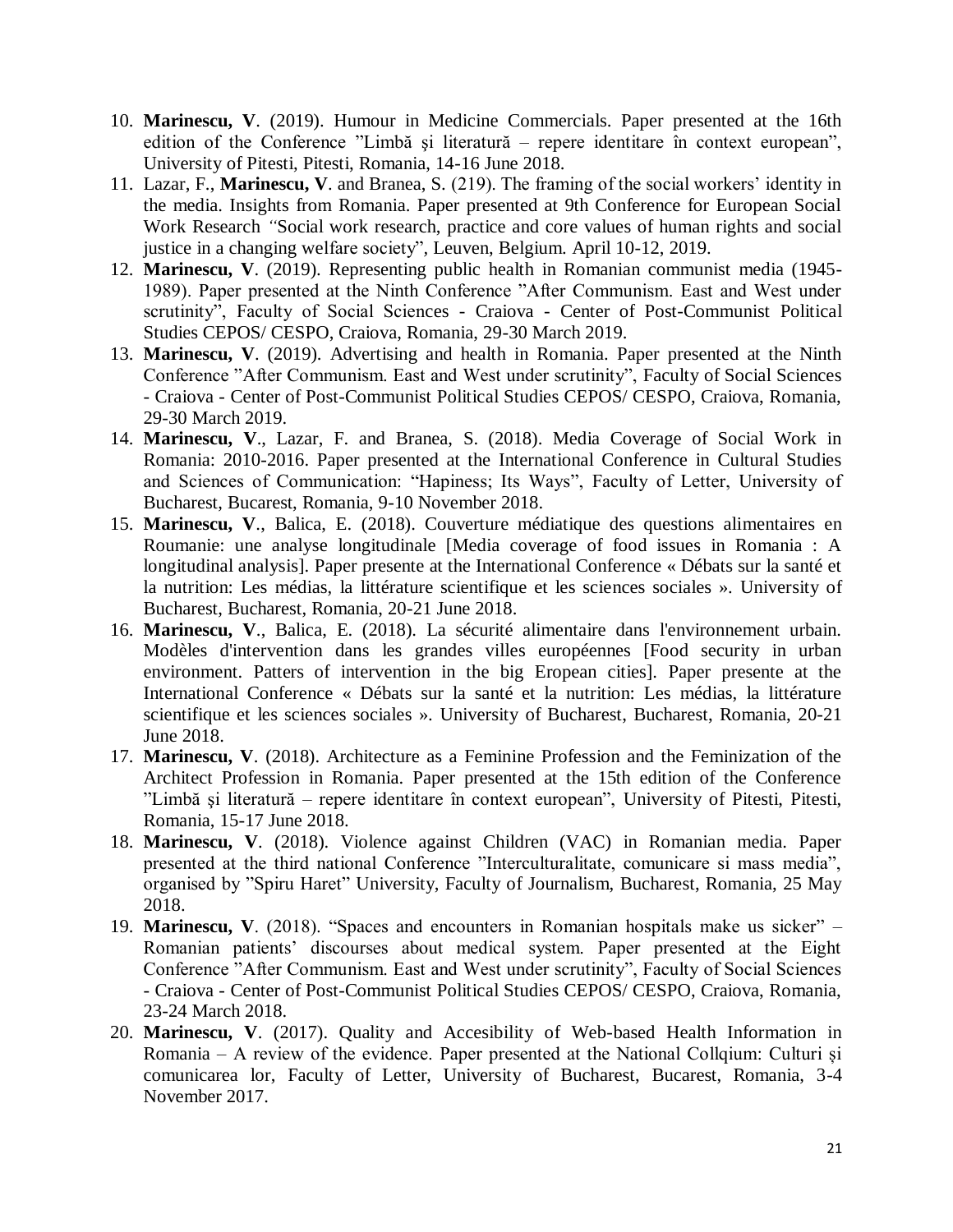- 10. **Marinescu, V**. (2019). Humour in Medicine Commercials. Paper presented at the 16th edition of the Conference "Limbă şi literatură – repere identitare în context european", University of Pitesti, Pitesti, Romania, 14-16 June 2018.
- 11. Lazar, F., **Marinescu, V**. and Branea, S. (219). The framing of the social workers' identity in the media. Insights from Romania. Paper presented at 9th Conference for European Social Work Research *"*Social work research, practice and core values of human rights and social justice in a changing welfare society"*,* Leuven, Belgium. April 10-12, 2019.
- 12. **Marinescu, V**. (2019). Representing public health in Romanian communist media (1945- 1989). Paper presented at the Ninth Conference "After Communism. East and West under scrutinity", Faculty of Social Sciences - Craiova - Center of Post-Communist Political Studies CEPOS/ CESPO, Craiova, Romania, 29-30 March 2019.
- 13. **Marinescu, V**. (2019). Advertising and health in Romania. Paper presented at the Ninth Conference "After Communism. East and West under scrutinity", Faculty of Social Sciences - Craiova - Center of Post-Communist Political Studies CEPOS/ CESPO, Craiova, Romania, 29-30 March 2019.
- 14. **Marinescu, V**., Lazar, F. and Branea, S. (2018). Media Coverage of Social Work in Romania: 2010-2016. Paper presented at the International Conference in Cultural Studies and Sciences of Communication: "Hapiness; Its Ways", Faculty of Letter, University of Bucharest, Bucarest, Romania, 9-10 November 2018.
- 15. **Marinescu, V**., Balica, E. (2018). Couverture médiatique des questions alimentaires en Roumanie: une analyse longitudinale [Media coverage of food issues in Romania : A longitudinal analysis]. Paper presente at the International Conference « Débats sur la santé et la nutrition: Les médias, la littérature scientifique et les sciences sociales ». University of Bucharest, Bucharest, Romania, 20-21 June 2018.
- 16. **Marinescu, V**., Balica, E. (2018). La sécurité alimentaire dans l'environnement urbain. Modèles d'intervention dans les grandes villes européennes [Food security in urban environment. Patters of intervention in the big Eropean cities]. Paper presente at the International Conference « Débats sur la santé et la nutrition: Les médias, la littérature scientifique et les sciences sociales ». University of Bucharest, Bucharest, Romania, 20-21 June 2018.
- 17. **Marinescu, V**. (2018). Architecture as a Feminine Profession and the Feminization of the Architect Profession in Romania. Paper presented at the 15th edition of the Conference "Limbă şi literatură – repere identitare în context european", University of Pitesti, Pitesti, Romania, 15-17 June 2018.
- 18. **Marinescu, V**. (2018). Violence against Children (VAC) in Romanian media. Paper presented at the third national Conference "Interculturalitate, comunicare si mass media", organised by "Spiru Haret" University, Faculty of Journalism, Bucharest, Romania, 25 May 2018.
- 19. **Marinescu, V**. (2018). "Spaces and encounters in Romanian hospitals make us sicker" Romanian patients' discourses about medical system. Paper presented at the Eight Conference "After Communism. East and West under scrutinity", Faculty of Social Sciences - Craiova - Center of Post-Communist Political Studies CEPOS/ CESPO, Craiova, Romania, 23-24 March 2018.
- 20. **Marinescu, V**. (2017). Quality and Accesibility of Web-based Health Information in Romania – A review of the evidence. Paper presented at the National Collqium: Culturi și comunicarea lor, Faculty of Letter, University of Bucharest, Bucarest, Romania, 3-4 November 2017.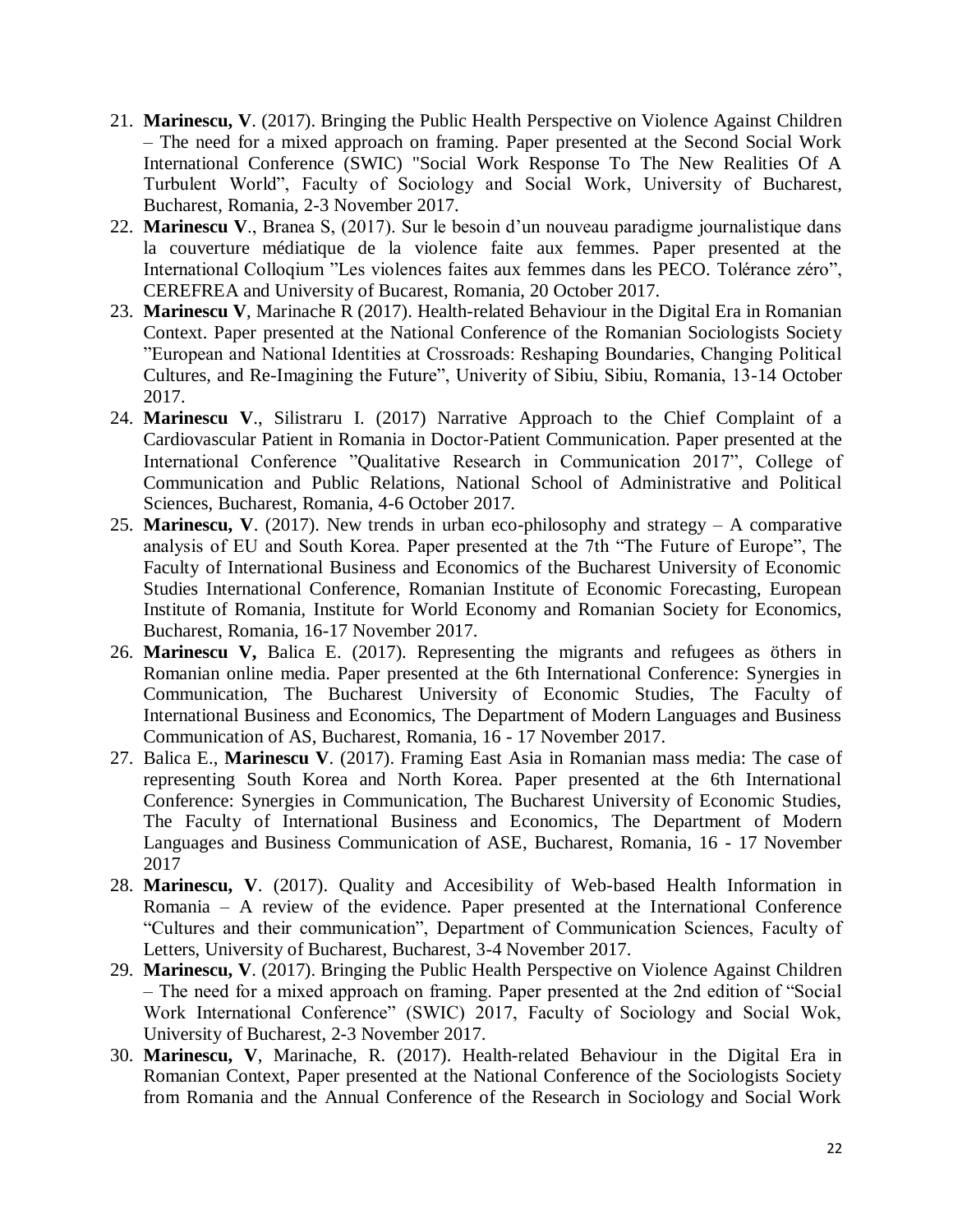- 21. **Marinescu, V**. (2017). Bringing the Public Health Perspective on Violence Against Children – The need for a mixed approach on framing. Paper presented at the Second Social Work International Conference (SWIC) "Social Work Response To The New Realities Of A Turbulent World", Faculty of Sociology and Social Work, University of Bucharest, Bucharest, Romania, 2-3 November 2017.
- 22. **Marinescu V**., Branea S, (2017). Sur le besoin d'un nouveau paradigme journalistique dans la couverture médiatique de la violence faite aux femmes. Paper presented at the International Colloqium "Les violences faites aux femmes dans les PECO. Tolérance zéro", CEREFREA and University of Bucarest, Romania, 20 October 2017.
- 23. **Marinescu V**, Marinache R (2017). Health-related Behaviour in the Digital Era in Romanian Context. Paper presented at the National Conference of the Romanian Sociologists Society "European and National Identities at Crossroads: Reshaping Boundaries, Changing Political Cultures, and Re-Imagining the Future", Univerity of Sibiu, Sibiu, Romania, 13-14 October 2017.
- 24. **Marinescu V**., Silistraru I. (2017) Narrative Approach to the Chief Complaint of a Cardiovascular Patient in Romania in Doctor‐Patient Communication. Paper presented at the International Conference "Qualitative Research in Communication 2017", College of Communication and Public Relations, National School of Administrative and Political Sciences, Bucharest, Romania, 4-6 October 2017.
- 25. **Marinescu, V**. (2017). New trends in urban eco-philosophy and strategy A comparative analysis of EU and South Korea. Paper presented at the 7th "The Future of Europe", The Faculty of International Business and Economics of the Bucharest University of Economic Studies International Conference, Romanian Institute of Economic Forecasting, European Institute of Romania, Institute for World Economy and Romanian Society for Economics, Bucharest, Romania, 16-17 November 2017.
- 26. **Marinescu V,** Balica E. (2017). Representing the migrants and refugees as öthers in Romanian online media. Paper presented at the 6th International Conference: Synergies in Communication, The Bucharest University of Economic Studies, The Faculty of International Business and Economics, The Department of Modern Languages and Business Communication of AS, Bucharest, Romania, 16 - 17 November 2017.
- 27. Balica E., **Marinescu V**. (2017). Framing East Asia in Romanian mass media: The case of representing South Korea and North Korea. Paper presented at the 6th International Conference: Synergies in Communication, The Bucharest University of Economic Studies, The Faculty of International Business and Economics, The Department of Modern Languages and Business Communication of ASE, Bucharest, Romania, 16 - 17 November 2017
- 28. **Marinescu, V**. (2017). Quality and Accesibility of Web-based Health Information in Romania – A review of the evidence. Paper presented at the International Conference "Cultures and their communication", Department of Communication Sciences, Faculty of Letters, University of Bucharest, Bucharest, 3-4 November 2017.
- 29. **Marinescu, V**. (2017). Bringing the Public Health Perspective on Violence Against Children – The need for a mixed approach on framing. Paper presented at the 2nd edition of "Social Work International Conference" (SWIC) 2017, Faculty of Sociology and Social Wok, University of Bucharest, 2-3 November 2017.
- 30. **Marinescu, V**, Marinache, R. (2017). Health-related Behaviour in the Digital Era in Romanian Context, Paper presented at the National Conference of the Sociologists Society from Romania and the Annual Conference of the Research in Sociology and Social Work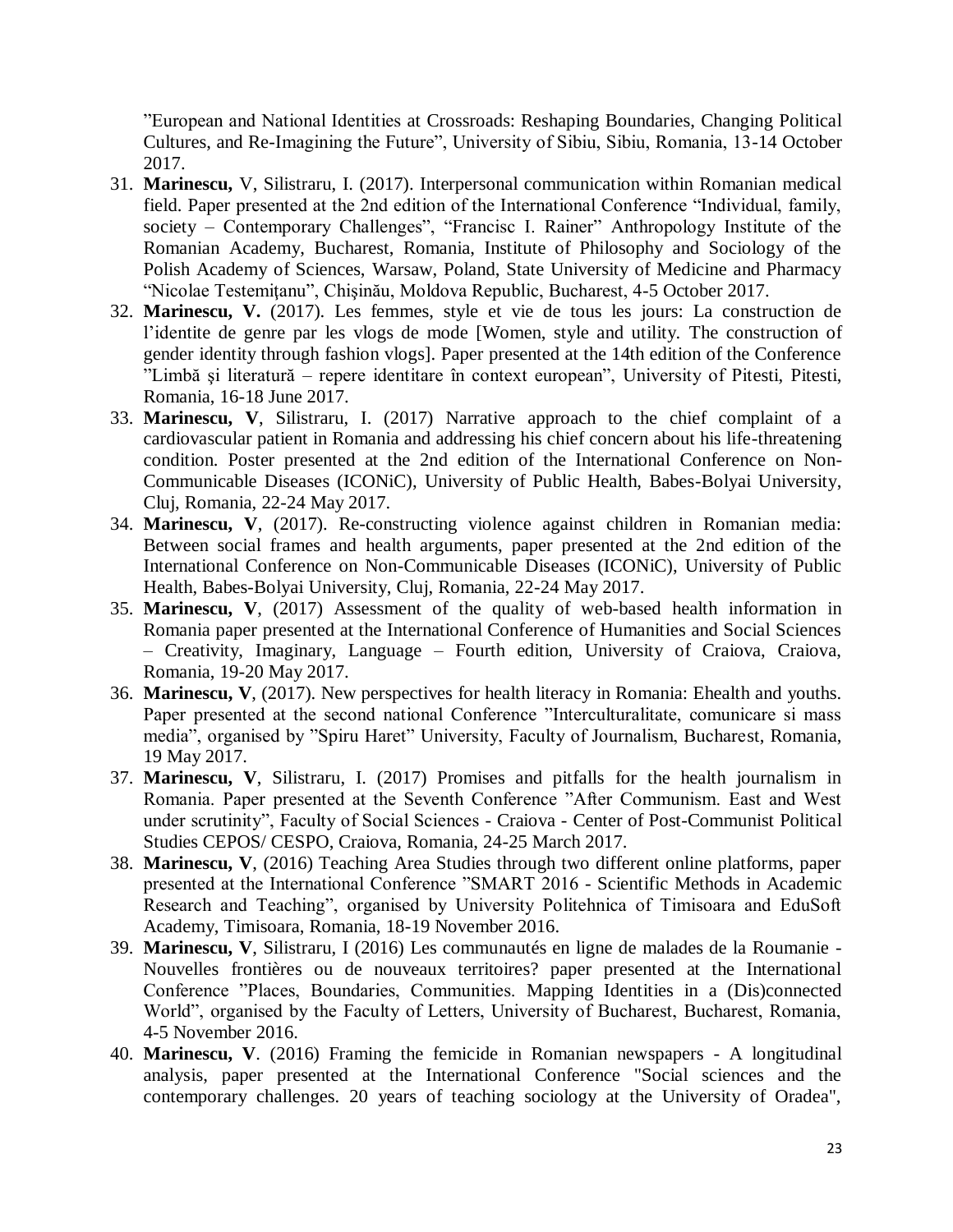"European and National Identities at Crossroads: Reshaping Boundaries, Changing Political Cultures, and Re-Imagining the Future", University of Sibiu, Sibiu, Romania, 13-14 October 2017.

- 31. **Marinescu,** V, Silistraru, I. (2017). Interpersonal communication within Romanian medical field. Paper presented at the 2nd edition of the International Conference "Individual, family, society – Contemporary Challenges", "Francisc I. Rainer" Anthropology Institute of the Romanian Academy, Bucharest, Romania, Institute of Philosophy and Sociology of the Polish Academy of Sciences, Warsaw, Poland, State University of Medicine and Pharmacy "Nicolae Testemiţanu", Chişinău, Moldova Republic, Bucharest, 4-5 October 2017.
- 32. **Marinescu, V.** (2017). Les femmes, style et vie de tous les jours: La construction de l'identite de genre par les vlogs de mode [Women, style and utility. The construction of gender identity through fashion vlogs]. Paper presented at the 14th edition of the Conference "Limbă şi literatură – repere identitare în context european", University of Pitesti, Pitesti, Romania, 16-18 June 2017.
- 33. **Marinescu, V**, Silistraru, I. (2017) Narrative approach to the chief complaint of a cardiovascular patient in Romania and addressing his chief concern about his life-threatening condition. Poster presented at the 2nd edition of the International Conference on Non-Communicable Diseases (ICONiC), University of Public Health, Babes-Bolyai University, Cluj, Romania, 22-24 May 2017.
- 34. **Marinescu, V**, (2017). Re-constructing violence against children in Romanian media: Between social frames and health arguments, paper presented at the 2nd edition of the International Conference on Non-Communicable Diseases (ICONiC), University of Public Health, Babes-Bolyai University, Cluj, Romania, 22-24 May 2017.
- 35. **Marinescu, V**, (2017) Assessment of the quality of web-based health information in Romania paper presented at the International Conference of Humanities and Social Sciences – Creativity, Imaginary, Language – Fourth edition, University of Craiova, Craiova, Romania, 19-20 May 2017.
- 36. **Marinescu, V**, (2017). New perspectives for health literacy in Romania: Ehealth and youths. Paper presented at the second national Conference "Interculturalitate, comunicare si mass media", organised by "Spiru Haret" University, Faculty of Journalism, Bucharest, Romania, 19 May 2017.
- 37. **Marinescu, V**, Silistraru, I. (2017) Promises and pitfalls for the health journalism in Romania. Paper presented at the Seventh Conference "After Communism. East and West under scrutinity", Faculty of Social Sciences - Craiova - Center of Post-Communist Political Studies CEPOS/ CESPO, Craiova, Romania, 24-25 March 2017.
- 38. **Marinescu, V**, (2016) Teaching Area Studies through two different online platforms, paper presented at the International Conference "SMART 2016 - Scientific Methods in Academic Research and Teaching", organised by University Politehnica of Timisoara and EduSoft Academy, Timisoara, Romania, 18-19 November 2016.
- 39. **Marinescu, V**, Silistraru, I (2016) Les communautés en ligne de malades de la Roumanie Nouvelles frontières ou de nouveaux territoires? paper presented at the International Conference "Places, Boundaries, Communities. Mapping Identities in a (Dis)connected World", organised by the Faculty of Letters, University of Bucharest, Bucharest, Romania, 4-5 November 2016.
- 40. **Marinescu, V**. (2016) Framing the femicide in Romanian newspapers A longitudinal analysis, paper presented at the International Conference "Social sciences and the contemporary challenges. 20 years of teaching sociology at the University of Oradea",